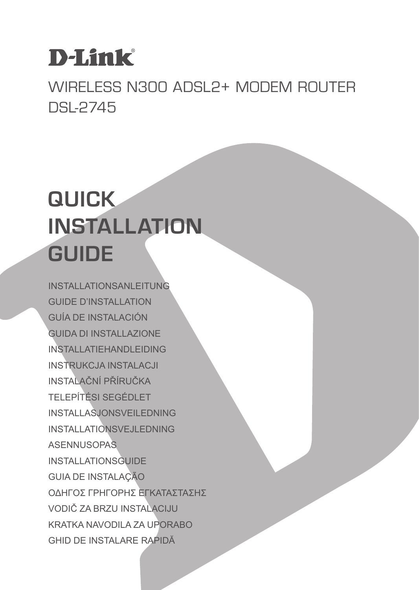# **D-Link**

WIRELESS N300 ADSL2+ MODEM ROUTER DSL-2745

# **QUICK INSTALLATION GUIDE**

INSTALLATIONSANLEITUNG GUIDE D'INSTALLATION GUÍA DE INSTALACIÓN GUIDA DI INSTALLAZIONE INSTALLATIEHANDLEIDING INSTRUKCJA INSTALACJI INSTALAČNÍ PŘÍRUČKA TELEPÍTÉSI SEGÉDLET INSTALLASJONSVEILEDNING INSTALLATIONSVEJLEDNING **ASENNUSOPAS** INSTALLATIONSGUIDE GUIA DE INSTALAÇÃO ΟΔΗΓΟΣ ΓΡΗΓΟΡΗΣ ΕΓΚΑΤΑΣΤΑΣΗΣ VODIČ ZA BRZU INSTALACIJU KRATKA NAVODILA ZA UPORABO GHID DE INSTALARE RAPIDĂ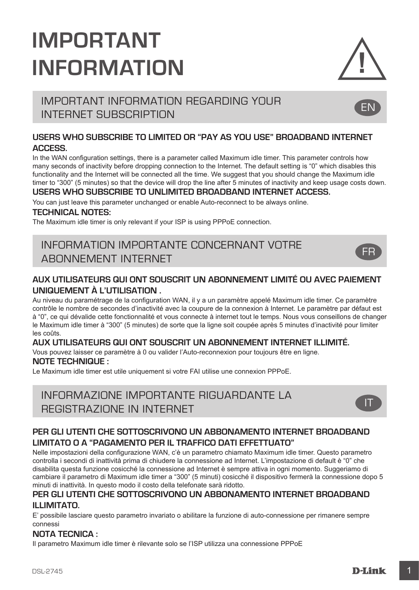# **IMPORTANT INFORMATION**



EN

FR

# IMPORTANT INFORMATION REGARDING YOUR INTERNET SUBSCRIPTION

#### **USERS WHO SUBSCRIBE TO LIMITED OR "PAY AS YOU USE" BROADBAND INTERNET ACCESS.**

In the WAN configuration settings, there is a parameter called Maximum idle timer. This parameter controls how many seconds of inactivity before dropping connection to the Internet. The default setting is "0" which disables this functionality and the Internet will be connected all the time. We suggest that you should change the Maximum idle timer to "300" (5 minutes) so that the device will drop the line after 5 minutes of inactivity and keep usage costs down.

#### **USERS WHO SUBSCRIBE TO UNLIMITED BROADBAND INTERNET ACCESS.**

You can just leave this parameter unchanged or enable Auto-reconnect to be always online.

#### **TECHNICAL NOTES:**

The Maximum idle timer is only relevant if your ISP is using PPPoE connection.

# INFORMATION IMPORTANTE CONCERNANT VOTRE ABONNEMENT INTERNET

#### **AUX UTILISATEURS QUI ONT SOUSCRIT UN ABONNEMENT LIMITÉ OU AVEC PAIEMENT UNIQUEMENT À L'UTILISATION .**

Au niveau du paramétrage de la configuration WAN, il y a un paramètre appelé Maximum idle timer. Ce paramètre contrôle le nombre de secondes d'inactivité avec la coupure de la connexion à Internet. Le paramètre par défaut est à "0", ce qui dévalide cette fonctionnalité et vous connecte à internet tout le temps. Nous vous conseillons de changer le Maximum idle timer à "300" (5 minutes) de sorte que la ligne soit coupée après 5 minutes d'inactivité pour limiter les coûts.

#### **AUX UTILISATEURS QUI ONT SOUSCRIT UN ABONNEMENT INTERNET ILLIMITÉ.**

Vous pouvez laisser ce paramètre à 0 ou valider l'Auto-reconnexion pour toujours être en ligne.

#### **NOTE TECHNIQUE :**

Le Maximum idle timer est utile uniquement si votre FAI utilise une connexion PPPoE.

# INFORMAZIONE IMPORTANTE RIGUARDANTE LA REGISTRAZIONE IN INTERNET



### **PER GLI UTENTI CHE SOTTOSCRIVONO UN ABBONAMENTO INTERNET BROADBAND LIMITATO O A "PAGAMENTO PER IL TRAFFICO DATI EFFETTUATO"**

Nelle impostazioni della configurazione WAN, c'è un parametro chiamato Maximum idle timer. Questo parametro controlla i secondi di inattività prima di chiudere la connessione ad Internet. L'impostazione di default è "0" che disabilita questa funzione cosicché la connessione ad Internet è sempre attiva in ogni momento. Suggeriamo di cambiare il parametro di Maximum idle timer a "300" (5 minuti) cosicché il dispositivo fermerà la connessione dopo 5 minuti di inattività. In questo modo il costo della telefonate sarà ridotto.

#### **PER GLI UTENTI CHE SOTTOSCRIVONO UN ABBONAMENTO INTERNET BROADBAND ILLIMITATO.**

E' possibile lasciare questo parametro invariato o abilitare la funzione di auto-connessione per rimanere sempre connessi

#### **NOTA TECNICA :**

Il parametro Maximum idle timer è rilevante solo se l'ISP utilizza una connessione PPPoE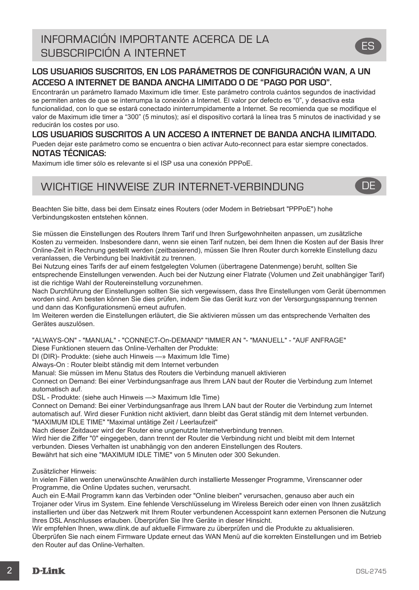# INFORMACIÓN IMPORTANTE ACERCA DE LA SUBSCRIPCIÓN A INTERNET

### **LOS USUARIOS SUSCRITOS, EN LOS PARÁMETROS DE CONFIGURACIÓN WAN, A UN ACCESO A INTERNET DE BANDA ANCHA LIMITADO O DE "PAGO POR USO".**

Encontrarán un parámetro llamado Maximum idle timer. Este parámetro controla cuántos segundos de inactividad se permiten antes de que se interrumpa la conexión a Internet. El valor por defecto es "0", y desactiva esta funcionalidad, con lo que se estará conectado ininterrumpidamente a Internet. Se recomienda que se modifique el valor de Maximum idle timer a "300" (5 minutos); así el dispositivo cortará la línea tras 5 minutos de inactividad y se reducirán los costes por uso.

# **LOS USUARIOS SUSCRITOS A UN ACCESO A INTERNET DE BANDA ANCHA ILIMITADO.**

Pueden dejar este parámetro como se encuentra o bien activar Auto-reconnect para estar siempre conectados. **NOTAS TÉCNICAS:**

Maximum idle timer sólo es relevante si el ISP usa una conexión PPPoE.

# WICHTIGE HINWEISE ZUR INTERNET-VERBINDUNG **DE**

Beachten Sie bitte, dass bei dem Einsatz eines Routers (oder Modem in Betriebsart "PPPoE") hohe Verbindungskosten entstehen können.

Sie müssen die Einstellungen des Routers Ihrem Tarif und Ihren Surfgewohnheiten anpassen, um zusätzliche Kosten zu vermeiden. Insbesondere dann, wenn sie einen Tarif nutzen, bei dem Ihnen die Kosten auf der Basis Ihrer Online-Zeit in Rechnung gestellt werden (zeitbasierend), müssen Sie Ihren Router durch korrekte Einstellung dazu veranlassen, die Verbindung bei Inaktivität zu trennen.

Bei Nutzung eines Tarifs der auf einem festgelegten Volumen (übertragene Datenmenge) beruht, sollten Sie entsprechende Einstellungen verwenden. Auch bei der Nutzung einer Flatrate (Volumen und Zeit unabhängiger Tarif) ist die richtige Wahl der Routereinstellung vorzunehmen.

Nach Durchführung der Einstellungen sollten Sie sich vergewissern, dass Ihre Einstellungen vom Gerät übernommen worden sind. Am besten können Sie dies prüfen, indem Sie das Gerät kurz von der Versorgungsspannung trennen und dann das Konfigurationsmenü erneut aufrufen.

Im Weiteren werden die Einstellungen erläutert, die Sie aktivieren müssen um das entsprechende Verhalten des Gerätes auszulösen.

"ALWAYS-ON" - "MANUAL" - "CONNECT-On-DEMAND" "IMMER AN "- "MANUELL" - "AUF ANFRAGE"

Diese Funktionen steuern das Online-Verhalten der Produkte:

DI (DIR)- Produkte: (siehe auch Hinweis —» Maximum Idle Time)

Always-On : Router bleibt ständig mit dem Internet verbunden

Manual: Sie müssen im Menu Status des Routers die Verbindung manuell aktivieren

Connect on Demand: Bei einer Verbindungsanfrage aus Ihrem LAN baut der Router die Verbindung zum Internet automatisch auf.

DSL - Produkte: (siehe auch Hinweis —> Maximum Idle Time)

Connect on Demand: Bei einer Verbindungsanfrage aus Ihrem LAN baut der Router die Verbindung zum Internet automatisch auf. Wird dieser Funktion nicht aktiviert, dann bleibt das Gerat ständig mit dem Internet verbunden. "MAXIMUM IDLE TIME" "Maximal untätige Zeit / Leerlaufzeit"

Nach dieser Zeitdauer wird der Router eine ungenutzte Internetverbindung trennen.

Wird hier die Ziffer "0" eingegeben, dann trennt der Router die Verbindung nicht und bleibt mit dem Internet verbunden. Dieses Verhalten ist unabhängig von den anderen Einstellungen des Routers.

Bewährt hat sich eine "MAXIMUM IDLE TIME" von 5 Minuten oder 300 Sekunden.

Zusätzlicher Hinweis:

In vielen Fällen werden unerwünschte Anwählen durch installierte Messenger Programme, Virenscanner oder Programme, die Online Updates suchen, verursacht.

Auch ein E-Mail Programm kann das Verbinden oder "Online bleiben" verursachen, genauso aber auch ein Trojaner oder Virus im System. Eine fehlende Verschlüsselung im Wireless Bereich oder einen von Ihnen zusätzlich installierten und über das Netzwerk mit Ihrem Router verbundenen Accesspoint kann externen Personen die Nutzung Ihres DSL Anschlusses erlauben. Überprüfen Sie Ihre Geräte in dieser Hinsicht.

Wir empfehlen Ihnen, www.dlink.de auf aktuelle Firmware zu überprüfen und die Produkte zu aktualisieren. Überprüfen Sie nach einem Firmware Update erneut das WAN Menü auf die korrekten Einstellungen und im Betrieb den Router auf das Online-Verhalten.

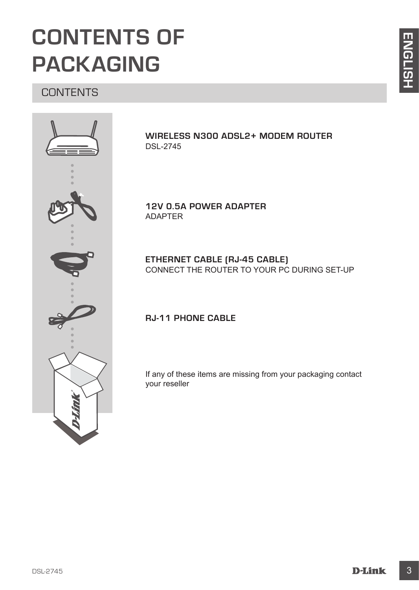# **CONTENTS OF PACKAGING**

# **CONTENTS**



**WIRELESS N300 ADSL2+ MODEM ROUTER** DSL-2745

**12V 0.5A POWER ADAPTER** ADAPTER

**ETHERNET CABLE (RJ-45 CABLE)** CONNECT THE ROUTER TO YOUR PC DURING SET-UP

# **RJ-11 PHONE CABLE**

If any of these items are missing from your packaging contact your reseller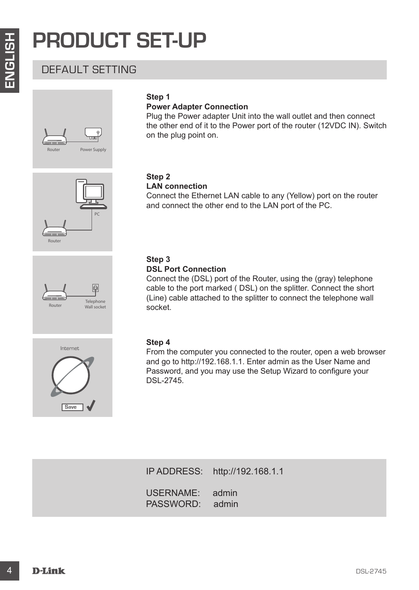# **PRODUCT SET-UP**

# DEFAULT SETTING





Router





### **Power Adapter Connection**

Plug the Power adapter Unit into the wall outlet and then connect the other end of it to the Power port of the router (12VDC IN). Switch on the plug point on.

#### **Step 2 LAN connection**

Connect the Ethernet LAN cable to any (Yellow) port on the router and connect the other end to the LAN port of the PC.

#### **Step 3 DSL Port Connection**

Connect the (DSL) port of the Router, using the (gray) telephone cable to the port marked ( DSL) on the splitter. Connect the short (Line) cable attached to the splitter to connect the telephone wall socket.



# **Step 4**

**PRODUCT SET-UP**<br>
DEFAULT SETTING<br>
Step 1<br>
This prior Master Connection<br>
This prior method on the change Unit who the eval dutiet and then connect<br>
the chief end of a to the Power port of the router (12YOC IN). Switch<br>
the From the computer you connected to the router, open a web browser and go to http://192.168.1.1. Enter admin as the User Name and Password, and you may use the Setup Wizard to configure your DSL-2745.

IP ADDRESS: http://192.168.1.1 USERNAME: admin PASSWORD: admin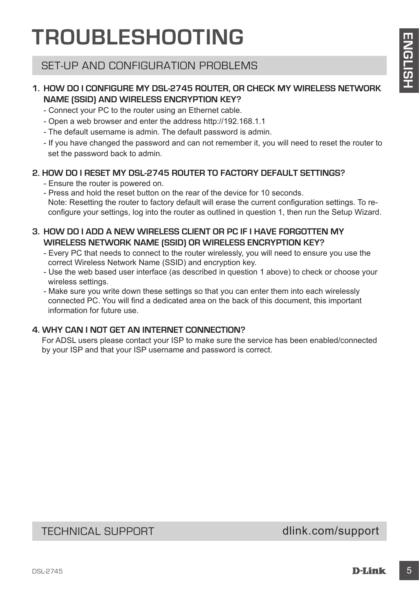# **TROUBLESHOOTING**

# SET-UP AND CONFIGURATION PROBLEMS

### **1. HOW DO I CONFIGURE MY DSL-2745 ROUTER, OR CHECK MY WIRELESS NETWORK NAME (SSID) AND WIRELESS ENCRYPTION KEY?**

- Connect your PC to the router using an Ethernet cable.
- Open a web browser and enter the address http://192.168.1.1
- The default username is admin. The default password is admin.
- If you have changed the password and can not remember it, you will need to reset the router to set the password back to admin.

# **2. HOW DO I RESET MY DSL-2745 ROUTER TO FACTORY DEFAULT SETTINGS?**

- Ensure the router is powered on.
- **IF AUUBLE SHUUTING**<br>
SET-UP AND CONFIGURATION PROBLEMS<br>
NAME (SGID) AND WIRELESS ENCRYPTION KEY?<br>
CONNECTIVE WAS ARROUGED AND WIRELESS FOR CHECK MY WIRELESS NETWORK<br>
CONNECTIVE ON THE CASE NOT CASE ROUTED TO FACTORY DEFAU - Press and hold the reset button on the rear of the device for 10 seconds. Note: Resetting the router to factory default will erase the current configuration settings. To reconfigure your settings, log into the router as outlined in question 1, then run the Setup Wizard.

# **3. HOW DO I ADD A NEW WIRELESS CLIENT OR PC IF I HAVE FORGOTTEN MY WIRELESS NETWORK NAME (SSID) OR WIRELESS ENCRYPTION KEY?**

- Every PC that needs to connect to the router wirelessly, you will need to ensure you use the correct Wireless Network Name (SSID) and encryption key.
- Use the web based user interface (as described in question 1 above) to check or choose your wireless settings.
- Make sure you write down these settings so that you can enter them into each wirelessly connected PC. You will find a dedicated area on the back of this document, this important information for future use.

### **4. WHY CAN I NOT GET AN INTERNET CONNECTION?**

For ADSL users please contact your ISP to make sure the service has been enabled/connected by your ISP and that your ISP username and password is correct.

TECHNICAL SUPPORT dlink.com/support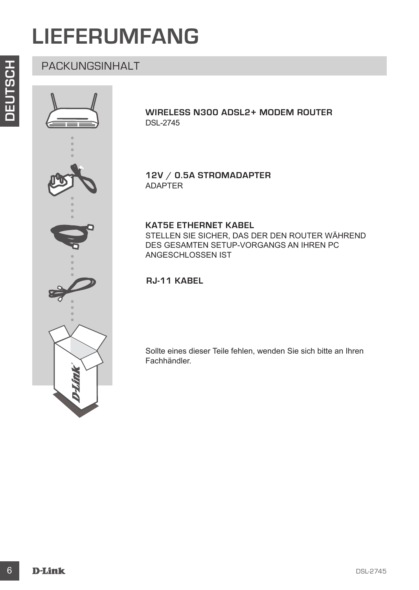# **LIEFERUMFANG**



**WIRELESS N300 ADSL2+ MODEM ROUTER** DSL-2745

**12V / 0.5A STROMADAPTER** ADAPTER

#### **KAT5E ETHERNET KABEL**

STELLEN SIE SICHER, DAS DER DEN ROUTER WÄHREND DES GESAMTEN SETUP-VORGANGS AN IHREN PC ANGESCHLOSSEN IST

**RJ-11 KABEL** 

Sollte eines dieser Teile fehlen, wenden Sie sich bitte an Ihren Fachhändler.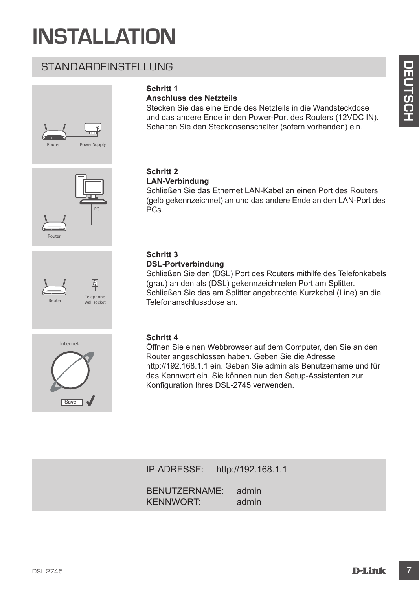# **INSTALLATION**

# STANDARDEINSTELLUNG









# **Schritt 1**

### **Anschluss des Netzteils**

Stecken Sie das eine Ende des Netzteils in die Wandsteckdose und das andere Ende in den Power-Port des Routers (12VDC IN). Schalten Sie den Steckdosenschalter (sofern vorhanden) ein.

#### **Schritt 2 LAN-Verbindung**

Schließen Sie das Ethernet LAN-Kabel an einen Port des Routers (gelb gekennzeichnet) an und das andere Ende an den LAN-Port des PCs.

#### **Schritt 3 DSL-Portverbindung**

Schließen Sie den (DSL) Port des Routers mithilfe des Telefonkabels (grau) an den als (DSL) gekennzeichneten Port am Splitter. Schließen Sie das am Splitter angebrachte Kurzkabel (Line) an die Telefonanschlussdose an.

### **Schritt 4**

STANDARDEINSTELLUNG<br>
Schein and Netherlands<br>
Anachinas des Netheils<br>
Schein and Netherlands in die Wanderscheele<br>
Schein and Schein and Power-Port des Routes (12/00 IN).<br>
Consider Since and Engine Routes (18/06 per profit Öffnen Sie einen Webbrowser auf dem Computer, den Sie an den Router angeschlossen haben. Geben Sie die Adresse http://192.168.1.1 ein. Geben Sie admin als Benutzername und für das Kennwort ein. Sie können nun den Setup-Assistenten zur Konfiguration Ihres DSL-2745 verwenden.

IP-ADRESSE: http://192.168.1.1

BENUTZERNAME: admin KENNWORT: admin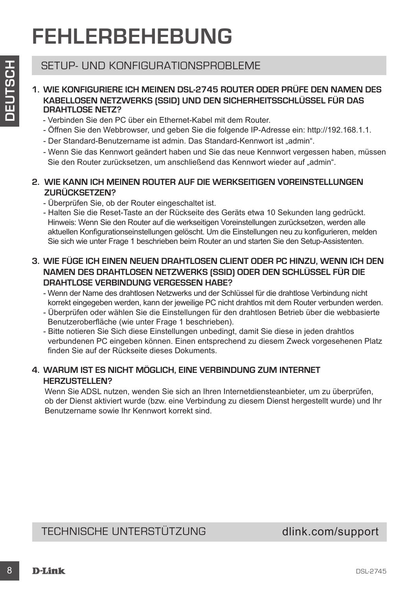# **FEHLERBEHEBUNG**

# SETUP- UND KONFIGURATIONSPROBLEME

#### **1. WIE KONFIGURIERE ICH MEINEN DSL-2745 ROUTER ODER PRÜFE DEN NAMEN DES KABELLOSEN NETZWERKS (SSID) UND DEN SICHERHEITSSCHLÜSSEL FÜR DAS DRAHTLOSE NETZ?**

- Verbinden Sie den PC über ein Ethernet-Kabel mit dem Router.
- Öffnen Sie den Webbrowser, und geben Sie die folgende IP-Adresse ein: http://192.168.1.1.
- Der Standard-Benutzername ist admin. Das Standard-Kennwort ist "admin".
- Wenn Sie das Kennwort geändert haben und Sie das neue Kennwort vergessen haben, müssen Sie den Router zurücksetzen, um anschließend das Kennwort wieder auf "admin".

### **2. WIE KANN ICH MEINEN ROUTER AUF DIE WERKSEITIGEN VOREINSTELLUNGEN ZURÜCKSETZEN?**

- Überprüfen Sie, ob der Router eingeschaltet ist.
- SETUP- UND KONFIGURATIONSPROBLEME<br>
21 MACHAMETACH METAWERK DESID) UND DEN SICHER ODER PRÜFE DEN NAMEN DES<br>
22 MAGELLOSEN NETZWERKS (SISID) UND DEN SICHER ODER PRÜFE DEN NAMEN DES<br>
23 MAGELLOSEN NETZWERKS (SISID) UND DEN SI - Halten Sie die Reset-Taste an der Rückseite des Geräts etwa 10 Sekunden lang gedrückt. Hinweis: Wenn Sie den Router auf die werkseitigen Voreinstellungen zurücksetzen, werden alle aktuellen Konfigurationseinstellungen gelöscht. Um die Einstellungen neu zu konfigurieren, melden Sie sich wie unter Frage 1 beschrieben beim Router an und starten Sie den Setup-Assistenten.

### **3. WIE FÜGE ICH EINEN NEUEN DRAHTLOSEN CLIENT ODER PC HINZU, WENN ICH DEN NAMEN DES DRAHTLOSEN NETZWERKS (SSID) ODER DEN SCHLÜSSEL FÜR DIE DRAHTLOSE VERBINDUNG VERGESSEN HABE?**

- Wenn der Name des drahtlosen Netzwerks und der Schlüssel für die drahtlose Verbindung nicht korrekt eingegeben werden, kann der jeweilige PC nicht drahtlos mit dem Router verbunden werden.
- Überprüfen oder wählen Sie die Einstellungen für den drahtlosen Betrieb über die webbasierte Benutzeroberfläche (wie unter Frage 1 beschrieben).
- Bitte notieren Sie Sich diese Einstellungen unbedingt, damit Sie diese in jeden drahtlos verbundenen PC eingeben können. Einen entsprechend zu diesem Zweck vorgesehenen Platz finden Sie auf der Rückseite dieses Dokuments.

### **4. WARUM IST ES NICHT MÖGLICH, EINE VERBINDUNG ZUM INTERNET HERZUSTELLEN?**

Wenn Sie ADSL nutzen, wenden Sie sich an Ihren Internetdiensteanbieter, um zu überprüfen, ob der Dienst aktiviert wurde (bzw. eine Verbindung zu diesem Dienst hergestellt wurde) und Ihr Benutzername sowie Ihr Kennwort korrekt sind.

# TECHNISCHE UNTERSTÜTZUNG dlink.com/support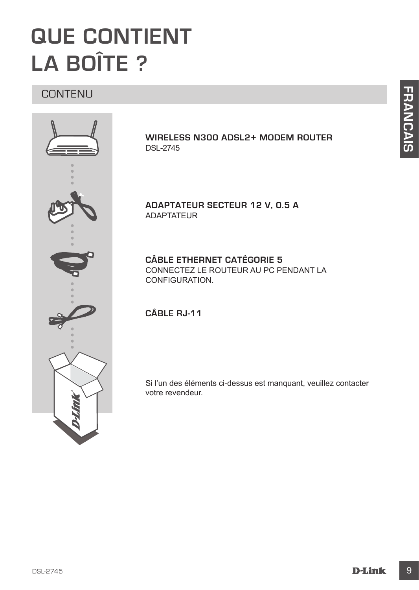# **QUE CONTIENT LA BOÎTE ?**

# CONTENU



### **WIRELESS N300 ADSL2+ MODEM ROUTER** DSL-2745

**ADAPTATEUR SECTEUR 12 V, 0.5 A** ADAPTATEUR

**CÂBLE ETHERNET CATÉGORIE 5**  CONNECTEZ LE ROUTEUR AU PC PENDANT LA CONFIGURATION.

### **CÂBLE RJ-11**

Si l'un des éléments ci-dessus est manquant, veuillez contacter votre revendeur.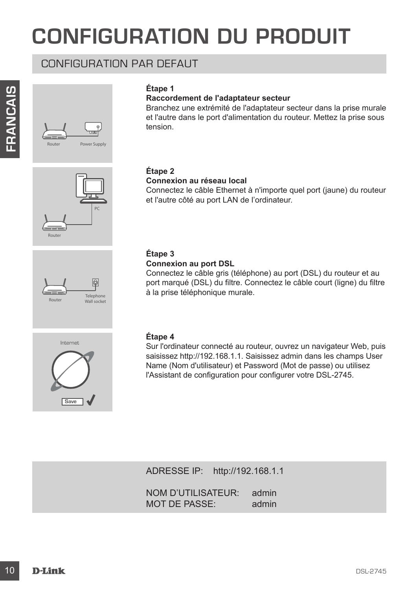# **CONFIGURATION DU PRODUIT**

# CONFIGURATION PAR DEFAUT





#### **Raccordement de l'adaptateur secteur**

Branchez une extrémité de l'adaptateur secteur dans la prise murale et l'autre dans le port d'alimentation du routeur. Mettez la prise sous tension.







# **Étape 2**

#### **Connexion au réseau local**

Connectez le câble Ethernet à n'importe quel port (jaune) du routeur et l'autre côté au port LAN de l'ordinateur.

### **Étape 3**

#### **Connexion au port DSL**

Connectez le câble gris (téléphone) au port (DSL) du routeur et au port marqué (DSL) du filtre. Connectez le câble court (ligne) du filtre à la prise téléphonique murale.

#### **Étape 4**

**Example 1 Example 1 Constrainty declared the metallity declared to the murale constraint de l'adipartemental prise sous-<br>
<b>Example 2**<br> **Example 2**<br> **Example 2**<br> **Example 2**<br> **Example 2**<br> **Constraints de l'adire desse** Sur l'ordinateur connecté au routeur, ouvrez un navigateur Web, puis saisissez http://192.168.1.1. Saisissez admin dans les champs User Name (Nom d'utilisateur) et Password (Mot de passe) ou utilisez l'Assistant de configuration pour configurer votre DSL-2745.

ADRESSE IP: http://192.168.1.1

NOM D'UTILISATEUR: admin MOT DE PASSE: admin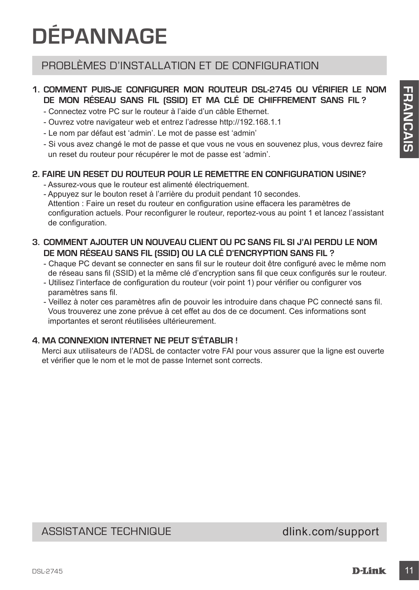# **DÉPANNAGE**

# PROBLÈMES D'INSTALLATION ET DE CONFIGURATION

# **1. COMMENT PUIS-JE CONFIGURER MON ROUTEUR DSL-2745 OU VÉRIFIER LE NOM DE MON RÉSEAU SANS FIL (SSID) ET MA CLÉ DE CHIFFREMENT SANS FIL ?**

- Connectez votre PC sur le routeur à l'aide d'un câble Ethernet.
- Ouvrez votre navigateur web et entrez l'adresse http://192.168.1.1
- Le nom par défaut est 'admin'. Le mot de passe est 'admin'
- Si vous avez changé le mot de passe et que vous ne vous en souvenez plus, vous devrez faire un reset du routeur pour récupérer le mot de passe est 'admin'.

### **2. FAIRE UN RESET DU ROUTEUR POUR LE REMETTRE EN CONFIGURATION USINE?**

- Assurez-vous que le routeur est alimenté électriquement.
- 1. **COMMENT AUGUSE CONFIGURER WANT CONFIGURE CONFIGURER CONFIGURER CONFIGURER CONFIGURER CONFIGURER ICONFIGURER CONFIGURER CONFIGURER CONFIGURER CONFIGURER CONFIGURER CONFIGURER CONFIGURER CONFIGURER CONFIGURER** - Appuyez sur le bouton reset à l'arrière du produit pendant 10 secondes. Attention : Faire un reset du routeur en configuration usine effacera les paramètres de configuration actuels. Pour reconfigurer le routeur, reportez-vous au point 1 et lancez l'assistant de configuration.

### **3. COMMENT AJOUTER UN NOUVEAU CLIENT OU PC SANS FIL SI J'AI PERDU LE NOM DE MON RÉSEAU SANS FIL (SSID) OU LA CLÉ D'ENCRYPTION SANS FIL ?**

- Chaque PC devant se connecter en sans fil sur le routeur doit être configuré avec le même nom de réseau sans fil (SSID) et la même clé d'encryption sans fil que ceux configurés sur le routeur.
- Utilisez l'interface de configuration du routeur (voir point 1) pour vérifier ou configurer vos paramètres sans fil.
- Veillez à noter ces paramètres afin de pouvoir les introduire dans chaque PC connecté sans fil. Vous trouverez une zone prévue à cet effet au dos de ce document. Ces informations sont importantes et seront réutilisées ultérieurement.

# **4. MA CONNEXION INTERNET NE PEUT S'ÉTABLIR !**

Merci aux utilisateurs de l'ADSL de contacter votre FAI pour vous assurer que la ligne est ouverte et vérifier que le nom et le mot de passe Internet sont corrects.

# ASSISTANCE TECHNIQUE dlink.com/support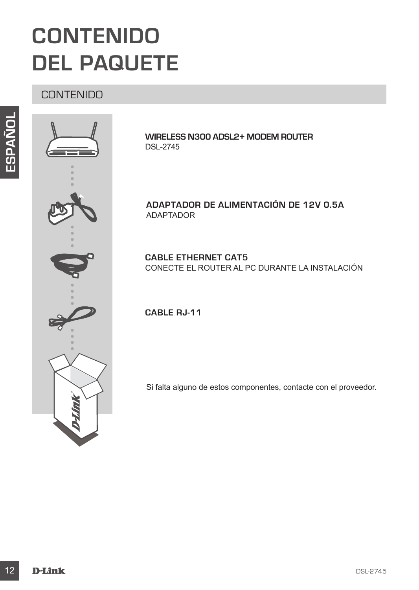# **CONTENIDO DEL PAQUETE**

# **CONTENIDO**





**WIRELESS N300 ADSL2+ MODEM ROUTER** DSL-2745

**ADAPTADOR DE ALIMENTACIÓN DE 12V 0.5A** ADAPTADOR

**CABLE ETHERNET CAT5** CONECTE EL ROUTER AL PC DURANTE LA INSTALACIÓN

**CABLE RJ-11**

Si falta alguno de estos componentes, contacte con el proveedor.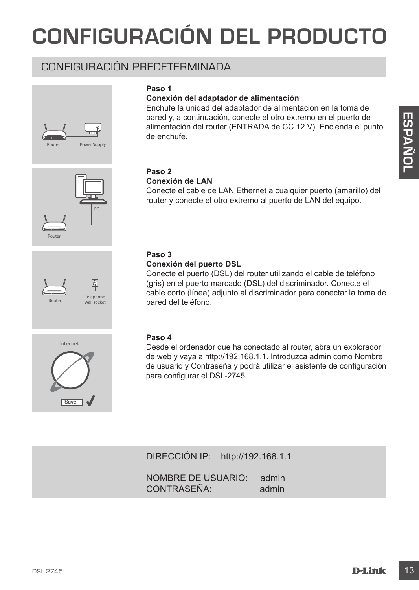# **CONFIGURACIÓN DEL PRODUCTO**

# CONFIGURACIÓN PREDETERMINADA





### **Conexión del adaptador de alimentación**

Enchufe la unidad del adaptador de alimentación en la toma de pared y, a continuación, conecte el otro extremo en el puerto de alimentación del router (ENTRADA de CC 12 V). Encienda el punto de enchufe.









# **Paso 2**

#### **Conexión de LAN**

Conecte el cable de LAN Ethernet a cualquier puerto (amarillo) del router y conecte el otro extremo al puerto de LAN del equipo.

### **Paso 3**

#### **Conexión del puerto DSL**

pared y, a contriudioido, conecte el conecte el conecte el conecte el capacho del route (ENTRADA de CC 12 V). Encienda el punto<br>
de enchute.<br>
Conecte el cable de LAN Elhernet a cualquier puerto (amanillo) del<br>
Conecte el c Conecte el puerto (DSL) del router utilizando el cable de teléfono (gris) en el puerto marcado (DSL) del discriminador. Conecte el cable corto (línea) adjunto al discriminador para conectar la toma de pared del teléfono.

#### **Paso 4**

Desde el ordenador que ha conectado al router, abra un explorador de web y vaya a http://192.168.1.1. Introduzca admin como Nombre de usuario y Contraseña y podrá utilizar el asistente de configuración para configurar el DSL-2745.

DIRECCIÓN IP: http://192.168.1.1

NOMBRE DE USUARIO: admin CONTRASEÑA: admin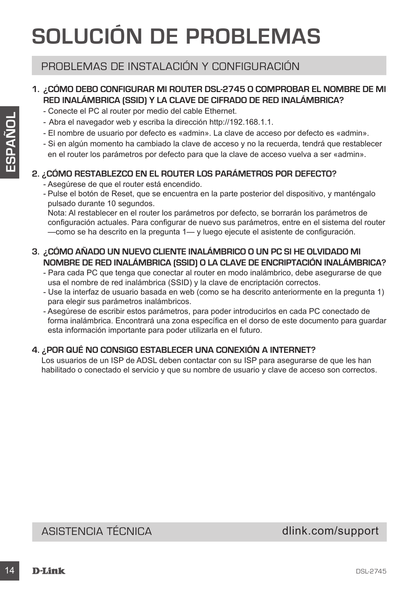# **SOLUCIÓN DE PROBLEMAS**

# PROBLEMAS DE INSTALACIÓN Y CONFIGURACIÓN

# **1. ¿CÓMO DEBO CONFIGURAR MI ROUTER DSL-2745 O COMPROBAR EL NOMBRE DE MI RED INALÁMBRICA (SSID) Y LA CLAVE DE CIFRADO DE RED INALÁMBRICA?**

- Conecte el PC al router por medio del cable Ethernet.
- Abra el navegador web y escriba la dirección http://192.168.1.1.
- El nombre de usuario por defecto es «admin». La clave de acceso por defecto es «admin».
- Si en algún momento ha cambiado la clave de acceso y no la recuerda, tendrá que restablecer en el router los parámetros por defecto para que la clave de acceso vuelva a ser «admin».

### **2. ¿CÓMO RESTABLEZCO EN EL ROUTER LOS PARÁMETROS POR DEFECTO?**

- Asegúrese de que el router está encendido.
- Pulse el botón de Reset, que se encuentra en la parte posterior del dispositivo, y manténgalo pulsado durante 10 segundos.

Nota: Al restablecer en el router los parámetros por defecto, se borrarán los parámetros de configuración actuales. Para configurar de nuevo sus parámetros, entre en el sistema del router —como se ha descrito en la pregunta 1— y luego ejecute el asistente de configuración.

- **3. ¿CÓMO AÑADO UN NUEVO CLIENTE INALÁMBRICO O UN PC SI HE OLVIDADO MI NOMBRE DE RED INALÁMBRICA (SSID) O LA CLAVE DE ENCRIPTACIÓN INALÁMBRICA?**
	- Para cada PC que tenga que conectar al router en modo inalámbrico, debe asegurarse de que usa el nombre de red inalámbrica (SSID) y la clave de encriptación correctos.
	- Use la interfaz de usuario basada en web (como se ha descrito anteriormente en la pregunta 1) para elegir sus parámetros inalámbricos.
- 4 De Abra di meeogador web y escriba la dirección https://32,483.1183.1183.11<br>
 Abra di meeogador web y esterbido se addonio hui di diste de accesso por defecto es «admin»<br>
 El membre de accesso varia de la dirección p - Asegúrese de escribir estos parámetros, para poder introducirlos en cada PC conectado de forma inalámbrica. Encontrará una zona específica en el dorso de este documento para guardar esta información importante para poder utilizarla en el futuro.

# **4. ¿POR QUÉ NO CONSIGO ESTABLECER UNA CONEXIÓN A INTERNET?**

Los usuarios de un ISP de ADSL deben contactar con su ISP para asegurarse de que les han habilitado o conectado el servicio y que su nombre de usuario y clave de acceso son correctos.

ASISTENCIA TÉCNICA dlink.com/support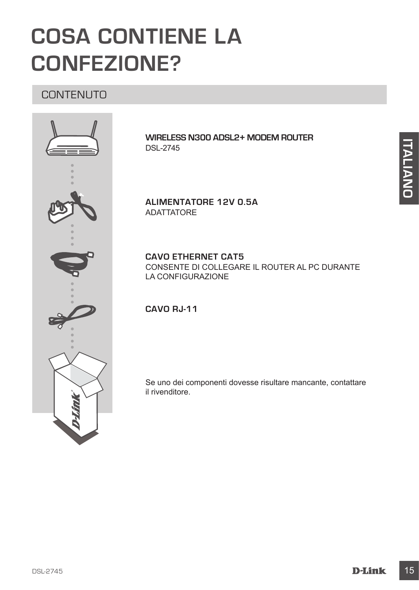# **COSA CONTIENE LA CONFEZIONE?**

# **CONTENUTO**



**WIRELESS N300 ADSL2+ MODEM ROUTER** DSL-2745

**ALIMENTATORE 12V 0.5A** ADATTATORE

**CAVO ETHERNET CAT5** CONSENTE DI COLLEGARE IL ROUTER AL PC DURANTE LA CONFIGURAZIONE

**CAVO RJ-11**

Se uno dei componenti dovesse risultare mancante, contattare il rivenditore.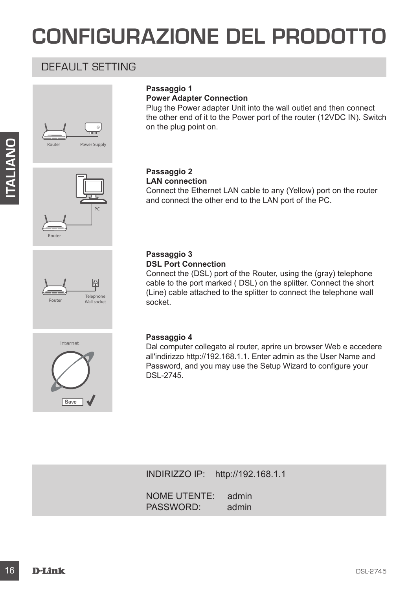# **CONFIGURAZIONE DEL PRODOTTO**

# DEFAULT SETTING



PC

# **Passaggio 1**

**Power Adapter Connection**

Plug the Power adapter Unit into the wall outlet and then connect the other end of it to the Power port of the router (12VDC IN). Switch on the plug point on.

#### **Passaggio 2 LAN connection**

Connect the Ethernet LAN cable to any (Yellow) port on the router and connect the other end to the LAN port of the PC.

Connect the (DSL) port of the Router, using the (gray) telephone cable to the port marked ( DSL) on the splitter. Connect the short (Line) cable attached to the splitter to connect the telephone wall



Router

# Internet Save **V**

# **Passaggio 4**

socket.

**Passaggio 3 DSL Port Connection**

**PASSAGE CONDUCTED AND CONDUCTERED**<br> **EXAMPLE CONDUCT AN CONDUCTER CONDUCT AND CONDUCT AND CONDUCT AND CONDUCT AND CONDUCT AND CONDUCT AND CONDUCTED CONDUCTED CONDUCTED CONDUCTED CONDUCTED CONDUCTED CONDUCTED CONDUCTED C** Dal computer collegato al router, aprire un browser Web e accedere all'indirizzo http://192.168.1.1. Enter admin as the User Name and Password, and you may use the Setup Wizard to configure your DSL-2745.

INDIRIZZO IP: http://192.168.1.1

NOME UTENTE: admin<br>PASSWORD: admin PASSWORD: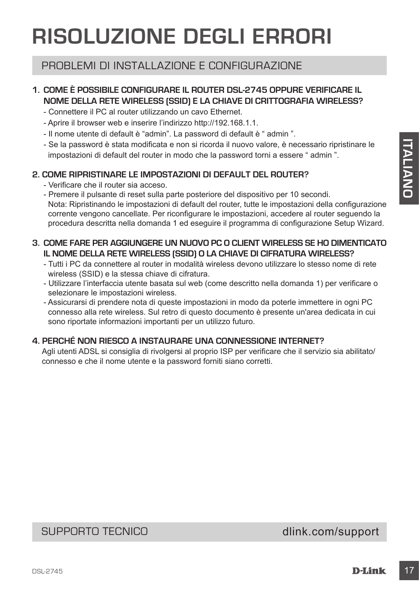# **RISOLUZIONE DEGLI ERRORI**

# PROBLEMI DI INSTALLAZIONE E CONFIGURAZIONE

# **1. COME È POSSIBILE CONFIGURARE IL ROUTER DSL-2745 OPPURE VERIFICARE IL NOME DELLA RETE WIRELESS (SSID) E LA CHIAVE DI CRITTOGRAFIA WIRELESS?**

- Connettere il PC al router utilizzando un cavo Ethernet.
- Aprire il browser web e inserire l'indirizzo http://192.168.1.1.
- Il nome utente di default è "admin". La password di default è " admin ".
- Se la password è stata modificata e non si ricorda il nuovo valore, è necessario ripristinare le impostazioni di default del router in modo che la password torni a essere " admin ".

### **2. COME RIPRISTINARE LE IMPOSTAZIONI DI DEFAULT DEL ROUTER?**

- Verificare che il router sia acceso.
- Se la passacrd ès siste modificata e non si ricorda il nuovo voldre, à necessario ripristimare le passacro di menosioni di definiti di conteriore del angua del passacrd torni a essere " admin ".<br>
2. **COME RIPRISTINARE L** - Premere il pulsante di reset sulla parte posteriore del dispositivo per 10 secondi. Nota: Ripristinando le impostazioni di default del router, tutte le impostazioni della configurazione corrente vengono cancellate. Per riconfigurare le impostazioni, accedere al router seguendo la procedura descritta nella domanda 1 ed eseguire il programma di configurazione Setup Wizard.

### **3. COME FARE PER AGGIUNGERE UN NUOVO PC O CLIENT WIRELESS SE HO DIMENTICATO IL NOME DELLA RETE WIRELESS (SSID) O LA CHIAVE DI CIFRATURA WIRELESS?**

- Tutti i PC da connettere al router in modalità wireless devono utilizzare lo stesso nome di rete wireless (SSID) e la stessa chiave di cifratura.
- Utilizzare l'interfaccia utente basata sul web (come descritto nella domanda 1) per verificare o selezionare le impostazioni wireless.
- Assicurarsi di prendere nota di queste impostazioni in modo da poterle immettere in ogni PC connesso alla rete wireless. Sul retro di questo documento è presente un'area dedicata in cui sono riportate informazioni importanti per un utilizzo futuro.

### **4. PERCHÉ NON RIESCO A INSTAURARE UNA CONNESSIONE INTERNET?**

Agli utenti ADSL si consiglia di rivolgersi al proprio ISP per verificare che il servizio sia abilitato/ connesso e che il nome utente e la password forniti siano corretti.

# SUPPORTO TECNICO dlink.com/support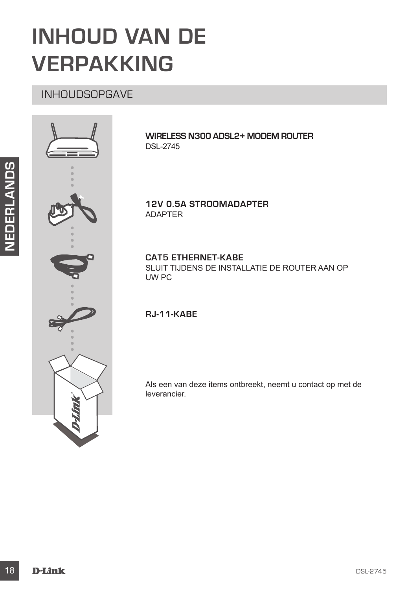# **INHOUD VAN DE VERPAKKING**

# INHOUDSOPGAVE



**WIRELESS N300 ADSL2+ MODEM ROUTER** DSL-2745

**12V 0.5A STROOMADAPTER** ADAPTER

**CAT5 ETHERNET-KABE** SLUIT TIJDENS DE INSTALLATIE DE ROUTER AAN OP UW PC

### **RJ-11-KABE**

Als een van deze items ontbreekt, neemt u contact op met de leverancier.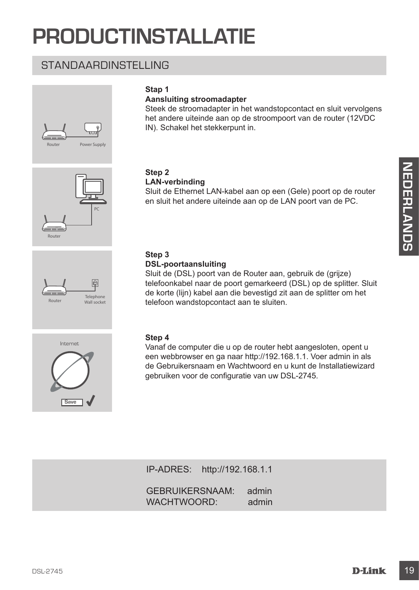# **PRODUCTINSTALLATIE**

# STANDAARDINSTELLING







### **Stap 1**

### **Aansluiting stroomadapter**

Steek de stroomadapter in het wandstopcontact en sluit vervolgens het andere uiteinde aan op de stroompoort van de router (12VDC IN). Schakel het stekkerpunt in.

# **Step 2**

#### **LAN-verbinding**

Sluit de Ethernet LAN-kabel aan op een (Gele) poort op de router en sluit het andere uiteinde aan op de LAN poort van de PC.

#### **Step 3 DSL-poortaansluiting**

**Sluit de Ethernet LAN-kabel aan op een (Gele) poort op de router<br>
Sluit de Ethernet LAN-kabel aan op een (Gele) poort op de router<br>
en sluit het andere uiteinde aan op de LAN poort van de PC.<br>
<br>
Sluit de CibSL-poortaansl** Sluit de (DSL) poort van de Router aan, gebruik de (grijze) telefoonkabel naar de poort gemarkeerd (DSL) op de splitter. Sluit de korte (lijn) kabel aan die bevestigd zit aan de splitter om het telefoon wandstopcontact aan te sluiten.



#### **Step 4**

Vanaf de computer die u op de router hebt aangesloten, opent u een webbrowser en ga naar http://192.168.1.1. Voer admin in als de Gebruikersnaam en Wachtwoord en u kunt de Installatiewizard gebruiken voor de configuratie van uw DSL-2745.

IP-ADRES: http://192.168.1.1

GEBRUIKERSNAAM: admin WACHTWOORD: admin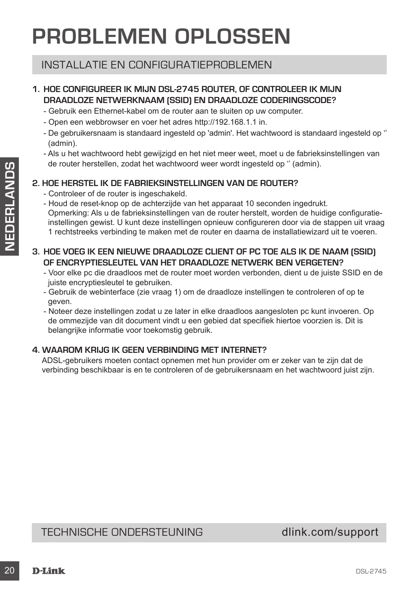# **PROBLEMEN OPLOSSEN**

# INSTALLATIE EN CONFIGURATIEPROBLEMEN

# **1. HOE CONFIGUREER IK MIJN DSL-2745 ROUTER, OF CONTROLEER IK MIJN DRAADLOZE NETWERKNAAM (SSID) EN DRAADLOZE CODERINGSCODE?**

- Gebruik een Ethernet-kabel om de router aan te sluiten op uw computer.
- Open een webbrowser en voer het adres http://192.168.1.1 in.
- De gebruikersnaam is standaard ingesteld op 'admin'. Het wachtwoord is standaard ingesteld op '' (admin).
- Als u het wachtwoord hebt gewijzigd en het niet meer weet, moet u de fabrieksinstellingen van de router herstellen, zodat het wachtwoord weer wordt ingesteld op '' (admin).

### **2. HOE HERSTEL IK DE FABRIEKSINSTELLINGEN VAN DE ROUTER?**

- Controleer of de router is ingeschakeld.
- 20 De Toute rentstear and about the way wondow were wont measured to relate the counter of the counter of the counter is happen to the counter of the counter is happen to the counter of the counter of the counter is the - Houd de reset-knop op de achterzijde van het apparaat 10 seconden ingedrukt. Opmerking: Als u de fabrieksinstellingen van de router herstelt, worden de huidige configuratieinstellingen gewist. U kunt deze instellingen opnieuw configureren door via de stappen uit vraag 1 rechtstreeks verbinding te maken met de router en daarna de installatiewizard uit te voeren.

### **3. HOE VOEG IK EEN NIEUWE DRAADLOZE CLIENT OF PC TOE ALS IK DE NAAM (SSID) OF ENCRYPTIESLEUTEL VAN HET DRAADLOZE NETWERK BEN VERGETEN?**

- Voor elke pc die draadloos met de router moet worden verbonden, dient u de juiste SSID en de juiste encryptiesleutel te gebruiken.
- Gebruik de webinterface (zie vraag 1) om de draadloze instellingen te controleren of op te geven.
- Noteer deze instellingen zodat u ze later in elke draadloos aangesloten pc kunt invoeren. Op de ommezijde van dit document vindt u een gebied dat specifiek hiertoe voorzien is. Dit is belangrijke informatie voor toekomstig gebruik.

# **4. WAAROM KRIJG IK GEEN VERBINDING MET INTERNET?**

ADSL-gebruikers moeten contact opnemen met hun provider om er zeker van te zijn dat de verbinding beschikbaar is en te controleren of de gebruikersnaam en het wachtwoord juist zijn.

# TECHNISCHE ONDERSTEUNING dlink.com/support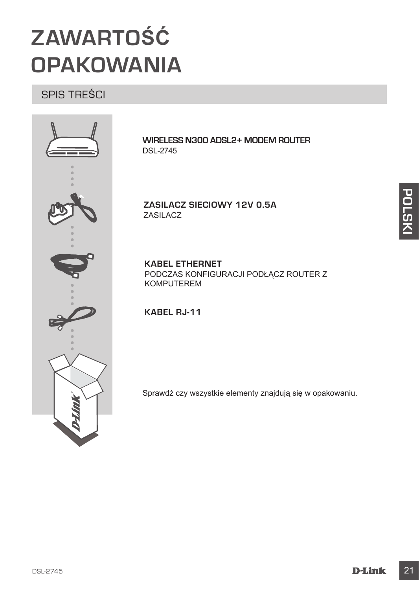# **ZAWARTOŚĆ OPAKOWANIA**

SPIS TREŚCI



**WIRELESS N300 ADSL2+ MODEM ROUTER** DSL-2745

**ZASILACZ SIECIOWY 12V 0.5A** ZASILACZ

**KABEL ETHERNET** PODCZAS KONFIGURACJI PODŁĄCZ ROUTER Z KOMPUTEREM

**KABEL RJ-11**

Sprawdź czy wszystkie elementy znajdują się w opakowaniu.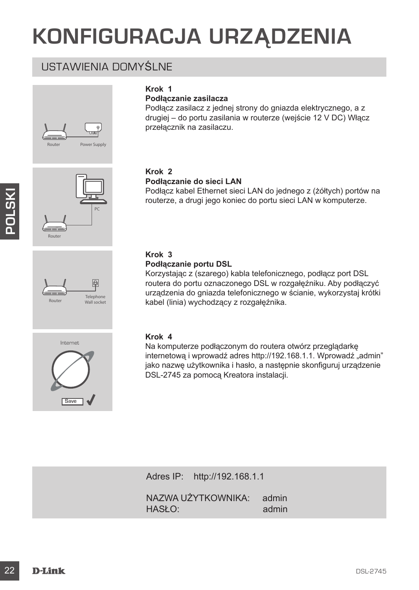# **KONFIGURACJA URZĄDZENIA**

# USTAWIENIA DOMYŚLNE





### **Podłączanie zasilacza**

Podłącz zasilacz z jednej strony do gniazda elektrycznego, a z drugiej – do portu zasilania w routerze (wejście 12 V DC) Włącz przełącznik na zasilaczu.

# **Krok 2**

#### **Podłączanie do sieci LAN**

Podłącz kabel Ethernet sieci LAN do jednego z (żółtych) portów na routerze, a drugi jego koniec do portu sieci LAN w komputerze.

# **Krok 3**

### **Podłączanie portu DSL**

Korzystając z (szarego) kabla telefonicznego, podłącz port DSL routera do portu oznaczonego DSL w rozgałęźniku. Aby podłączyć urządzenia do gniazda telefonicznego w ścianie, wykorzystaj krótki kabel (linia) wychodzący z rozgałęźnika.

#### **Krok 4**

Prodectz e. a drug jego konec LAN objectego z (zotych) portov na<br>
routerze, a drug jego konec do portu sieci LAN w komputerze.<br> **Example 1990**<br> **Example 1990**<br> **Example 1990**<br> **Example 1990**<br> **Example 1990**<br> **Example 1990** Na komputerze podłączonym do routera otwórz przeglądarkę internetową i wprowadź adres http://192.168.1.1. Wprowadź "admin" jako nazwę użytkownika i hasło, a następnie skonfiguruj urządzenie DSL-2745 za pomocą Kreatora instalacji.

Adres IP: http://192.168.1.1

NAZWA UŻYTKOWNIKA: admin  $HASL O:$  admin



**Telephone** Router Wall socket

PC

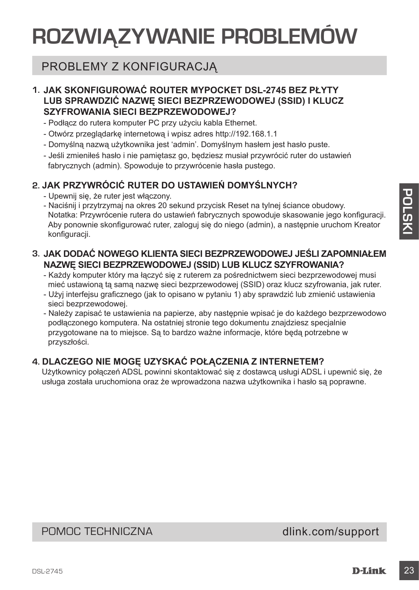# **ROZWIĄZYWANIE PROBLEMÓW**

# PROBLEMY Z KONFIGURACJĄ

# **1. JAK SKONFIGUROWAĆ ROUTER MYPOCKET DSL-2745 BEZ PŁYTY LUB SPRAWDZIĆ NAZWĘ SIECI BEZPRZEWODOWEJ (SSID) I KLUCZ SZYFROWANIA SIECI BEZPRZEWODOWEJ?**

- Podłącz do rutera komputer PC przy użyciu kabla Ethernet.
- Otwórz przeglądarkę internetową i wpisz adres http://192.168.1.1
- Domyślną nazwą użytkownika jest 'admin'. Domyślnym hasłem jest hasło puste.
- Jeśli zmieniłeś hasło i nie pamiętasz go, będziesz musiał przywrócić ruter do ustawień fabrycznych (admin). Spowoduje to przywrócenie hasła pustego.

# **2. JAK PRZYWRÓCIĆ RUTER DO USTAWIEŃ DOMYŚLNYCH?**

- Upewnij się, że ruter jest włączony.
- Upewnij się, że nuter jest wiączony, częsta na pierzycisk Reset na lytnej ściance obudowy.<br>
Notatkia: Przywrócenie rutera do ustatwieri fabrycznych spowoduje skasowanie jego konfiguracji.<br>
Notatkia: Przywrócenie rutera d - Naciśnij i przytrzymaj na okres 20 sekund przycisk Reset na tylnej ściance obudowy. Notatka: Przywrócenie rutera do ustawień fabrycznych spowoduje skasowanie jego konfiguracji. Aby ponownie skonfigurować ruter, zaloguj się do niego (admin), a następnie uruchom Kreator konfiguracji.

# **3. JAK DODAĆ NOWEGO KLIENTA SIECI BEZPRZEWODOWEJ JEŚLI ZAPOMNIAŁEM NAZWĘ SIECI BEZPRZEWODOWEJ (SSID) LUB KLUCZ SZYFROWANIA?**

- Każdy komputer który ma łączyć się z ruterem za pośrednictwem sieci bezprzewodowej musi mieć ustawioną tą samą nazwę sieci bezprzewodowej (SSID) oraz klucz szyfrowania, jak ruter.
- Użyj interfejsu graficznego (jak to opisano w pytaniu 1) aby sprawdzić lub zmienić ustawienia sieci bezprzewodowej.
- Należy zapisać te ustawienia na papierze, aby następnie wpisać je do każdego bezprzewodowo podłączonego komputera. Na ostatniej stronie tego dokumentu znajdziesz specjalnie przygotowane na to miejsce. Są to bardzo ważne informacje, które będą potrzebne w przyszłości.

# **4. DLACZEGO NIE MOGĘ UZYSKAĆ POŁĄCZENIA Z INTERNETEM?**

Użytkownicy połączeń ADSL powinni skontaktować się z dostawcą usługi ADSL i upewnić się, że usługa została uruchomiona oraz że wprowadzona nazwa użytkownika i hasło są poprawne.

POMOC TECHNICZNA dlink.com/support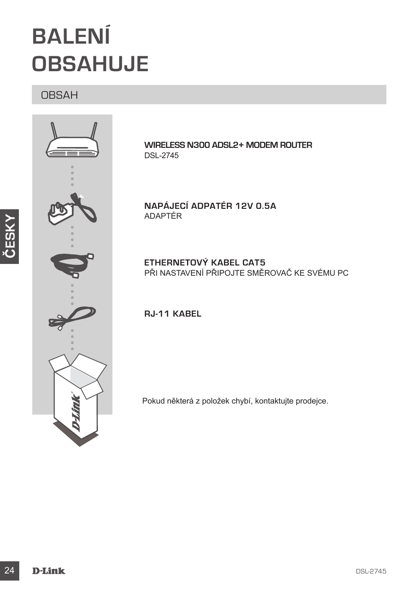# **BALENÍ OBSAHUJE**

# OBSAH



**ČESKY**

**WIRELESS N300 ADSL2+ MODEM ROUTER** DSL-2745

**NAPÁJECÍ ADPATÉR 12V 0.5A** ADAPTÉR

**ETHERNETOVÝ KABEL CAT5**  PŘI NASTAVENÍ PŘIPOJTE SMĚROVAČ KE SVÉMU PC

**RJ-11 KABEL** 

Pokud některá z položek chybí, kontaktujte prodejce.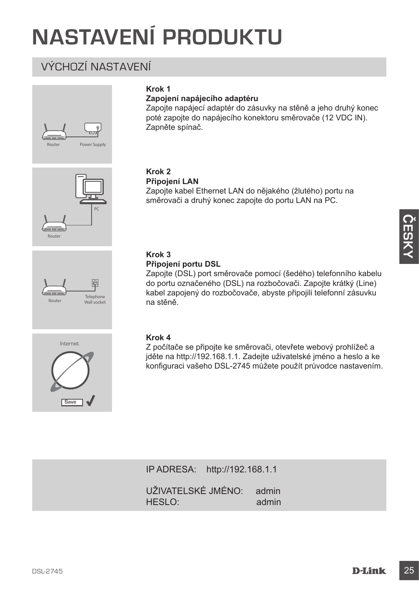# **NASTAVENÍ PRODUKTU**

# VÝCHOZÍ NASTAVENÍ



Router



### **Zapojení napájecího adaptéru**

Zapojte napájecí adaptér do zásuvky na stěně a jeho druhý konec poté zapojte do napájecího konektoru směrovače (12 VDC IN). Zapněte spínač.

#### **Krok 2 Připojení LAN**

Zapojte kabel Ethernet LAN do nějakého (žlutého) portu na směrovači a druhý konec zapojte do portu LAN na PC.

#### **Krok 3 Připojení portu DSL**

Zapojte (DSL) port směrovače pomocí (šedého) telefonního kabelu do portu označeného (DSL) na rozbočovači. Zapojte krátký (Line) kabel zapojený do rozbočovače, abyste připojili telefonní zásuvku na stěně.



Telephone Router Wall socket

PC

#### **Krok 4**

Z počítače se připojte ke směrovači, otevřete webový prohlížeč a jděte na http://192.168.1.1. Zadejte uživatelské jméno a heslo a ke konfiguraci vašeho DSL-2745 můžete použít průvodce nastavením.

IP ADRESA: http://192.168.1.1

UŽIVATELSKÉ JMÉNO: admin HESLO: admin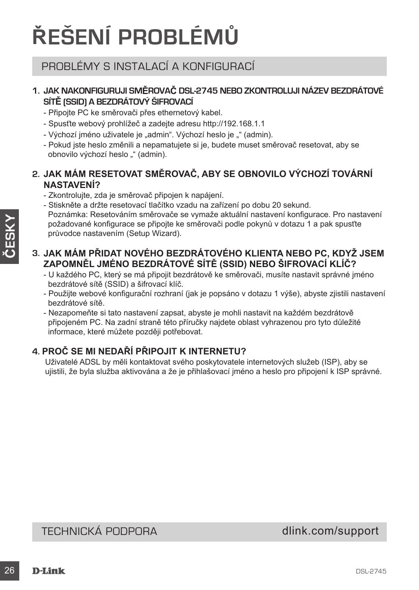# **ŘEŠENÍ PROBLÉMŮ**

# PROBLÉMY S INSTALACÍ A KONFIGURACÍ

# **1. JAK NAKONFIGURUJI SMĚROVAČ DSL-2745 NEBO ZKONTROLUJI NÁZEV BEZDRÁTOVÉ SÍTĚ (SSID) A BEZDRÁTOVÝ ŠIFROVACÍ**

- Připojte PC ke směrovači přes ethernetový kabel.
- Spusťte webový prohlížeč a zadejte adresu http://192.168.1.1
- Výchozí jméno uživatele je "admin". Výchozí heslo je "" (admin).
- Pokud jste heslo změnili a nepamatujete si je, budete muset směrovač resetovat, aby se obnovilo výchozí heslo "" (admin).

# **2. JAK MÁM RESETOVAT SMĚROVAČ, ABY SE OBNOVILO VÝCHOZÍ TOVÁRNÍ NASTAVENÍ?**

- Zkontrolujte, zda je směrovač připojen k napájení.
- Stiskněte a držte resetovací tlačítko vzadu na zařízení po dobu 20 sekund. Poznámka: Resetováním směrovače se vymaže aktuální nastavení konfigurace. Pro nastavení
- požadované konfigurace se připojte ke směrovači podle pokynů v dotazu 1 a pak spusťte průvodce nastavením (Setup Wizard).

# **3. JAK MÁM PŘIDAT NOVÉHO BEZDRÁTOVÉHO KLIENTA NEBO PC, KDYŽ JSEM ZAPOMNĚL JMÉNO BEZDRÁTOVÉ SÍTĚ (SSID) NEBO ŠIFROVACÍ KLÍČ?**

- U každého PC, který se má připojit bezdrátově ke směrovači, musíte nastavit správné jméno bezdrátové sítě (SSID) a šifrovací klíč.
- Použijte webové konfigurační rozhraní (jak je popsáno v dotazu 1 výše), abyste zjistili nastavení bezdrátové sítě.
- Nezapomeňte si tato nastavení zapsat, abyste je mohli nastavit na každém bezdrátově připojeném PC. Na zadní straně této příručky najdete oblast vyhrazenou pro tyto důležité informace, které můžete později potřebovat.

# **4. PROČ SE MI NEDAŘÍ PŘIPOJIT K INTERNETU?**

Uživatelé ADSL by měli kontaktovat svého poskytovatele internetových služeb (ISP), aby se ujistili, že byla služba aktivována a že je přihlašovací jméno a heslo pro připojení k ISP správné.

# TECHNICKÁ PODPORA dlink.com/support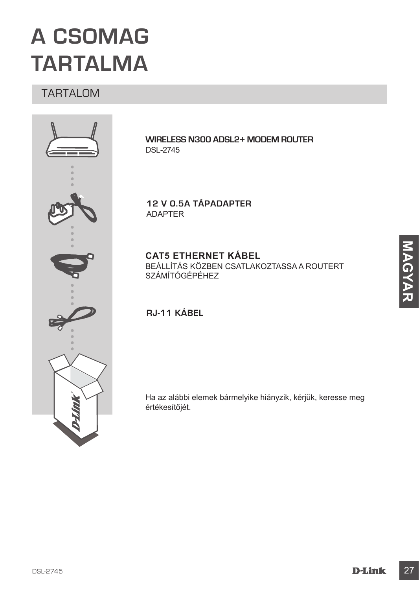# **A CSOMAG TARTALMA**

# TARTALOM



**WIRELESS N300 ADSL2+ MODEM ROUTER** DSL-2745

**12 V 0.5A TÁPADAPTER** ADAPTER

**CAT5 ETHERNET KÁBEL** BEÁLLÍTÁS KÖZBEN CSATLAKOZTASSA A ROUTERT SZÁMÍTÓGÉPÉHEZ

# **RJ-11 KÁBEL**

Ha az alábbi elemek bármelyike hiányzik, kérjük, keresse meg értékesítőjét.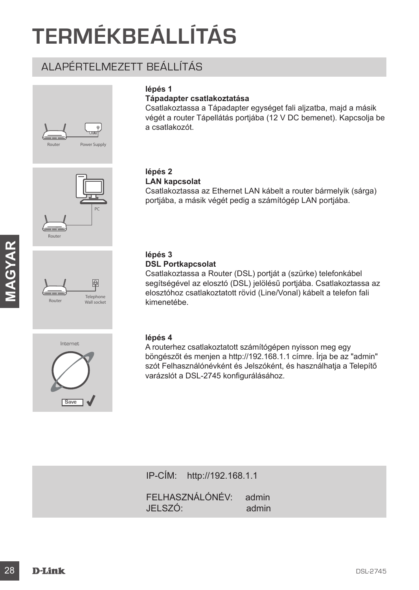# **TERMÉKBEÁLLÍTÁS**

# ALAPÉRTELMEZETT BEÁLLÍTÁS









# **lépés 1**

#### **Tápadapter csatlakoztatása**

Csatlakoztassa a Tápadapter egységet fali aljzatba, majd a másik végét a router Tápellátás portjába (12 V DC bemenet). Kapcsolja be a csatlakozót.

#### **lépés 2 LAN kapcsolat**

Csatlakoztassa az Ethernet LAN kábelt a router bármelyik (sárga) portjába, a másik végét pedig a számítógép LAN portjába.

#### **lépés 3 DSL Portkapcsolat**

**Example 18 DSL Portlangesolat**<br>
28 DSL Portlangesolat<br>
28 Constantiozzlassa a Router (DSL) portját a (szűrke) telefonkábel<br>
<sup>28</sup> sejtőségével az elősztő (DSL) jelőlésű portjába. Csatlakoztassa az<br>
28 kinemetébe.<br>
28 Magy Csatlakoztassa a Router (DSL) portját a (szürke) telefonkábel segítségével az elosztó (DSL) jelölésű portjába. Csatlakoztassa az elosztóhoz csatlakoztatott rövid (Line/Vonal) kábelt a telefon fali kimenetébe.

#### **lépés 4**

A routerhez csatlakoztatott számítógépen nyisson meg egy böngészőt és menjen a http://192.168.1.1 címre. Írja be az "admin" szót Felhasználónévként és Jelszóként, és használhatja a Telepítő varázslót a DSL-2745 konfigurálásához.

IP-CÍM: http://192.168.1.1 FELHASZNÁLÓNÉV: admin JELSZÓ: admin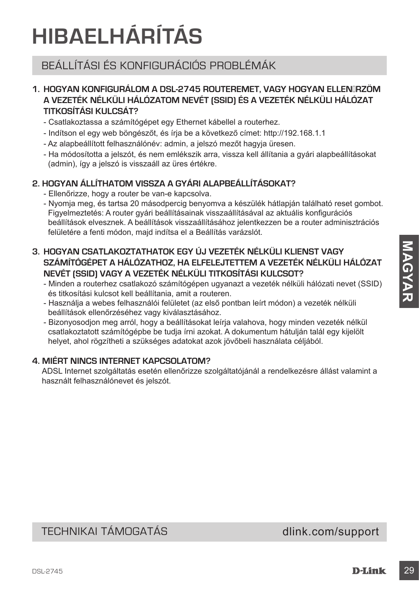# **HIBAELHÁRÍTÁS**

# BEÁLLÍTÁSI ÉS KONFIGURÁCIÓS PROBLÉMÁK

# **1. HOGYAN KONFIGURÁLOM A DSL-2745 ROUTEREMET, VAGY HOGYAN ELLENŐRZÖM A VEZETÉK NÉLKÜLI HÁLÓZATOM NEVÉT (SSID) ÉS A VEZETÉK NÉLKÜLI HÁLÓZAT TITKOSÍTÁSI KULCSÁT?**

- Csatlakoztassa a számítógépet egy Ethernet kábellel a routerhez.
- Indítson el egy web böngészőt, és írja be a következő címet: http://192.168.1.1
- Az alapbeállított felhasználónév: admin, a jelszó mezőt hagyja üresen.
- Ha módosította a jelszót, és nem emlékszik arra, vissza kell állítania a gyári alapbeállításokat (admin), így a jelszó is visszaáll az üres értékre.

# **2. HOGYAN ÁLLÍTHATOM VISSZA A GYÁRI ALAPBEÁLLÍTÁSOKAT?**

- Ellenőrizze, hogy a router be van-e kapcsolva.
- Nyomja meg, és tartsa 20 másodpercig benyomva a készülék hátlapján található reset gombot. Figyelmeztetés: A router gyári beállításainak visszaállításával az aktuális konfigurációs beállítások elvesznek. A beállítások visszaállításához jelentkezzen be a router adminisztrációs felületére a fenti módon, majd indítsa el a Beállítás varázslót.
- 3. HOGYAN CSATLAKOZTATHATOK EGY ÚJ VEZETÉK NÉLKÜLI KLIENST VAGY<br>
SZÁMITÓGÉPET A HÁLÓZATTHOZ, HA ELFELUTETTEM NÉLKÜLI TITKOSÍTÁSI KULCSOT?<br>
NIMENTÉRE MELKÜLI TITKOSÍTÁSI KULCSOT?<br>
 Mindian a notulene a collabre scalakozó **3. HOGYAN CSATLAKOZTATHATOK EGY ÚJ VEZETÉK NÉLKÜLI KLIENST VAGY SZÁMÍTÓGÉPET A HÁLÓZATHOZ, HA ELFELEJTETTEM A VEZETÉK NÉLKÜLI HÁLÓZAT NEVÉT (SSID) VAGY A VEZETÉK NÉLKÜLI TITKOSÍTÁSI KULCSOT?**
	- Minden a routerhez csatlakozó számítógépen ugyanazt a vezeték nélküli hálózati nevet (SSID) és titkosítási kulcsot kell beállítania, amit a routeren.
	- Használja a webes felhasználói felületet (az első pontban leírt módon) a vezeték nélküli beállítások ellenőrzéséhez vagy kiválasztásához.
	- Bizonyosodjon meg arról, hogy a beállításokat leírja valahova, hogy minden vezeték nélkül csatlakoztatott számítógépbe be tudja írni azokat. A dokumentum hátulján talál egy kijelölt helyet, ahol rögzítheti a szükséges adatokat azok jövőbeli használata céljából.

# **4. MIÉRT NINCS INTERNET KAPCSOLATOM?**

ADSL Internet szolgáltatás esetén ellenőrizze szolgáltatójánál a rendelkezésre állást valamint a használt felhasználónevet és jelszót.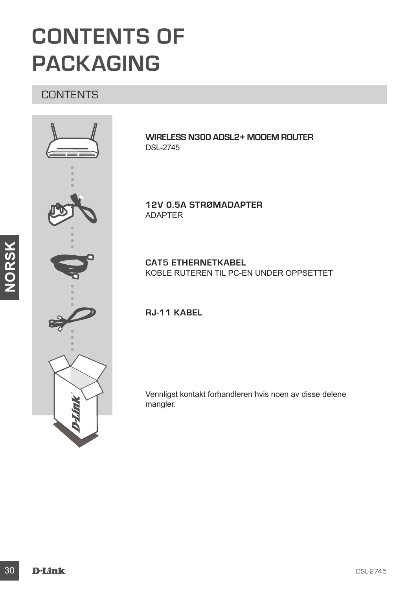# **CONTENTS OF PACKAGING**

# **CONTENTS**



**WIRELESS N300 ADSL2+ MODEM ROUTER** DSL-2745

**12V 0.5A STRØMADAPTER** ADAPTER

**CAT5 ETHERNETKABEL** KOBLE RUTEREN TIL PC-EN UNDER OPPSETTET

**RJ-11 KABEL**

Vennligst kontakt forhandleren hvis noen av disse delene mangler.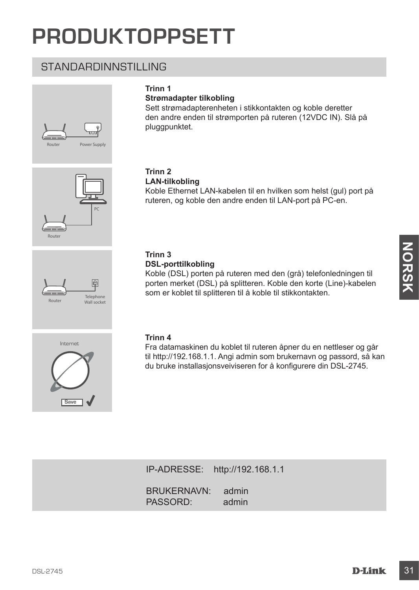# **PRODUKTOPPSETT**

# STANDARDINNSTILLING





### **Strømadapter tilkobling**

Sett strømadapterenheten i stikkontakten og koble deretter den andre enden til strømporten på ruteren (12VDC IN). Slå på pluggpunktet.





#### **Trinn 2 LAN-tilkobling**

Koble Ethernet LAN-kabelen til en hvilken som helst (gul) port på ruteren, og koble den andre enden til LAN-port på PC-en.

#### **Trinn 3 DSL-porttilkobling**

Trinn 3<br>
DSL-porteitikobling<br>
Koble (DSL) poten på ruteren med den (grå) telefonledningen til<br>
porten merket (DSL) på splitteren. Koble den korte (Line)-kabelen<br>
som er koblet til splitteren til å koble til stikkontakten.<br> Koble (DSL) porten på ruteren med den (grå) telefonledningen til porten merket (DSL) på splitteren. Koble den korte (Line)-kabelen som er koblet til splitteren til å koble til stikkontakten.



#### **Trinn 4**

Fra datamaskinen du koblet til ruteren åpner du en nettleser og går til http://192.168.1.1. Angi admin som brukernavn og passord, så kan du bruke installasjonsveiviseren for å konfigurere din DSL-2745.

IP-ADRESSE: http://192.168.1.1

BRUKERNAVN: admin PASSORD: admin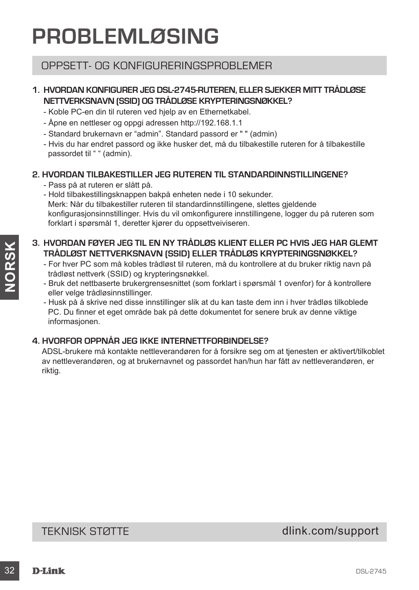# **PROBLEMLØSING**

# OPPSETT- OG KONFIGLIRERINGSPROBLEMER

# **1. HVORDAN KONFIGURER JEG DSL-2745-RUTEREN, ELLER SJEKKER MITT TRÅDLØSE NETTVERKSNAVN (SSID) OG TRÅDLØSE KRYPTERINGSNØKKEL?**

- Koble PC-en din til ruteren ved hjelp av en Ethernetkabel.
- Åpne en nettleser og oppgi adressen http://192.168.1.1
- Standard brukernavn er "admin". Standard passord er " " (admin)
- Hvis du har endret passord og ikke husker det, må du tilbakestille ruteren for å tilbakestille passordet til " " (admin).

### **2. HVORDAN TILBAKESTILLER JEG RUTEREN TIL STANDARDINNSTILLINGENE?**

- Pass på at ruteren er slått på.
- Hold tilbakestillingsknappen bakpå enheten nede i 10 sekunder.
- Merk: Når du tilbakestiller ruteren til standardinnstillingene, slettes gjeldende konfigurasjonsinnstillinger. Hvis du vil omkonfigurere innstillingene, logger du på ruteren som forklart i spørsmål 1, deretter kjører du oppsettveiviseren.

# **3. HVORDAN FØYER JEG TIL EN NY TRÅDLØS KLIENT ELLER PC HVIS JEG HAR GLEMT TRÅDLØST NETTVERKSNAVN (SSID) ELLER TRÅDLØS KRYPTERINGSNØKKEL?**

- For hver PC som må kobles trådløst til ruteren, må du kontrollere at du bruker riktig navn på trådløst nettverk (SSID) og krypteringsnøkkel.
- Bruk det nettbaserte brukergrensesnittet (som forklart i spørsmål 1 ovenfor) for å kontrollere eller velge trådløsinnstillinger.
- Husk på å skrive ned disse innstillinger slik at du kan taste dem inn i hver trådløs tilkoblede PC. Du finner et eget område bak på dette dokumentet for senere bruk av denne viktige informasjonen.

# **4. HVORFOR OPPNÅR JEG IKKE INTERNETTFORBINDELSE?**

3. **HOWENARY POTER WERT WERT WALKER FRAME SKILLY FOR THE PRESIDENT TRADLEST THE PRESIDE TRADLES KRYPTERINGSNIGHKKEL?**<br>
FRADLEST NETTVERKSNIAVIN (SSID) ELLER TRADLES KRYPTERINGSNIGHKKEL?<br>
For there PC som må kolest trädist ADSL-brukere må kontakte nettleverandøren for å forsikre seg om at tjenesten er aktivert/tilkoblet av nettleverandøren, og at brukernavnet og passordet han/hun har fått av nettleverandøren, er riktig.

TEKNISK STØTTE det af det af det af det af det af det af det af det af det af det af det af det af det af det a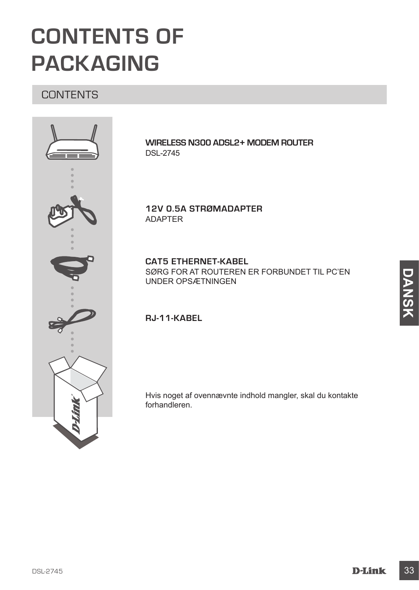# **CONTENTS OF PACKAGING**

# **CONTENTS**



**WIRELESS N300 ADSL2+ MODEM ROUTER** DSL-2745

**12V 0.5A STRØMADAPTER** ADAPTER

**CAT5 ETHERNET-KABEL** SØRG FOR AT ROUTEREN ER FORBUNDET TIL PC'EN UNDER OPSÆTNINGEN

# **RJ-11-KABEL**

Hvis noget af ovennævnte indhold mangler, skal du kontakte forhandleren.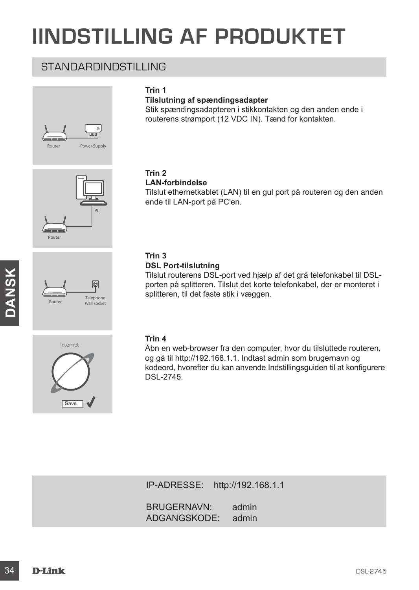# **IINDSTILLING AF PRODUKTET**

# STANDARDINDSTILLING









# **Tilslutning af spændingsadapter**

Stik spændingsadapteren i stikkontakten og den anden ende i routerens strømport (12 VDC IN). Tænd for kontakten.

#### **Trin 2 LAN-forbindelse**

Tilslut ethernetkablet (LAN) til en gul port på routeren og den anden ende til LAN-port på PC'en.

# **Trin 3**

#### **DSL Port-tilslutning**

Tilslut routerens DSL-port ved hjælp af det grå telefonkabel til DSLporten på splitteren. Tilslut det korte telefonkabel, der er monteret i splitteren, til det faste stik i væggen.



#### **Trin 4**

Tislut routerens DSL-port wed higelp af det grà telefonkabel til DSL-<br>
porten på splitteren , till et faste stik i væggen.<br>
Warmonia<br>
Splitteren, til et faste stik i væggen.<br>
Trin 4<br>
Abn en web-browser fra den computer, hv Åbn en web-browser fra den computer, hvor du tilsluttede routeren, og gå til http://192.168.1.1. Indtast admin som brugernavn og kodeord, hvorefter du kan anvende Indstillingsguiden til at konfigurere DSL-2745.

IP-ADRESSE: http://192.168.1.1

BRUGERNAVN: admin<br>ADGANGSKODE: admin ADGANGSKODE: admin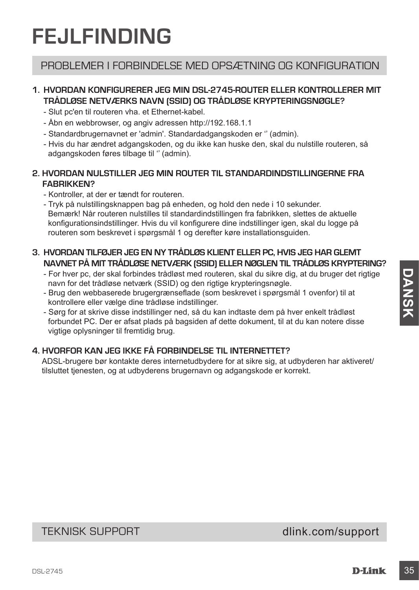# **FEJLFINDING**

# PROBLEMER I FORBINDELSE MED OPSÆTNING OG KONFIGURATION

# **1. HVORDAN KONFIGURERER JEG MIN DSL-2745-ROUTER ELLER KONTROLLERER MIT TRÅDLØSE NETVÆRKS NAVN (SSID) OG TRÅDLØSE KRYPTERINGSNØGLE?**

- Slut pc'en til routeren vha. et Ethernet-kabel.
- Åbn en webbrowser, og angiv adressen http://192.168.1.1
- Standardbrugernavnet er 'admin'. Standardadgangskoden er '' (admin).
- Hvis du har ændret adgangskoden, og du ikke kan huske den, skal du nulstille routeren, så adgangskoden føres tilbage til '' (admin).

### **2. HVORDAN NULSTILLER JEG MIN ROUTER TIL STANDARDINDSTILLINGERNE FRA FABRIKKEN?**

- Kontroller, at der er tændt for routeren.
- Tryk på nulstillingsknappen bag på enheden, og hold den nede i 10 sekunder. Bemærk! Når routeren nulstilles til standardindstillingen fra fabrikken, slettes de aktuelle konfigurationsindstillinger. Hvis du vil konfigurere dine indstillinger igen, skal du logge på routeren som beskrevet i spørgsmål 1 og derefter køre installationsguiden.

### **3. HVORDAN TILFØJER JEG EN NY TRÅDLØS KLIENT ELLER PC, HVIS JEG HAR GLEMT NAVNET PÅ MIT TRÅDLØSE NETVÆRK (SSID) ELLER NØGLEN TIL TRÅDLØS KRYPTERING?**

- For hver pc, der skal forbindes trådløst med routeren, skal du sikre dig, at du bruger det rigtige navn for det trådløse netværk (SSID) og den rigtige krypteringsnøgle.
- Brug den webbaserede brugergrænseflade (som beskrevet i spørgsmål 1 ovenfor) til at kontrollere eller vælge dine trådløse indstillinger.
- For twe pc, der skal forbindes träddest med routeren, skal du slike dig, at du bruger det rigtige<br>
any for the traddese netwerk (SSID) og den rigtige krypteringsnagle.<br>
Brug den webbaserede brugergrænsefiled (som beskrevet - Sørg for at skrive disse indstillinger ned, så du kan indtaste dem på hver enkelt trådløst forbundet PC. Der er afsat plads på bagsiden af dette dokument, til at du kan notere disse vigtige oplysninger til fremtidig brug.

# **4. HVORFOR KAN JEG IKKE FÅ FORBINDELSE TIL INTERNETTET?**

ADSL-brugere bør kontakte deres internetudbydere for at sikre sig, at udbyderen har aktiveret/ tilsluttet tjenesten, og at udbyderens brugernavn og adgangskode er korrekt.

# TEKNISK SUPPORT dlink.com/support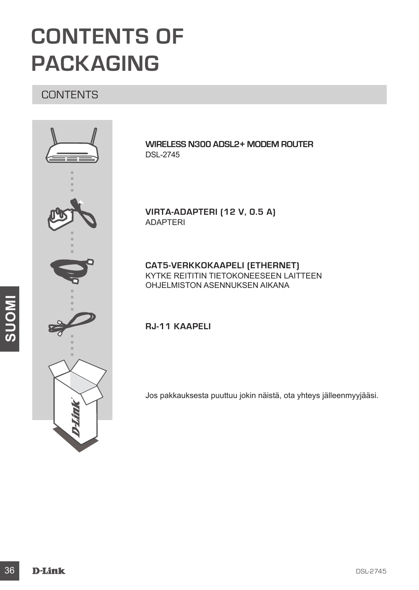# **CONTENTS OF PACKAGING**

# **CONTENTS**



**WIRELESS N300 ADSL2+ MODEM ROUTER** DSL-2745

**VIRTA-ADAPTERI (12 V, 0.5 A)**  ADAPTERI

**CAT5-VERKKOKAAPELI (ETHERNET)** KYTKE REITITIN TIETOKONEESEEN LAITTEEN OHJELMISTON ASENNUKSEN AIKANA

**RJ-11 KAAPELI**

Jos pakkauksesta puuttuu jokin näistä, ota yhteys jälleenmyyjääsi.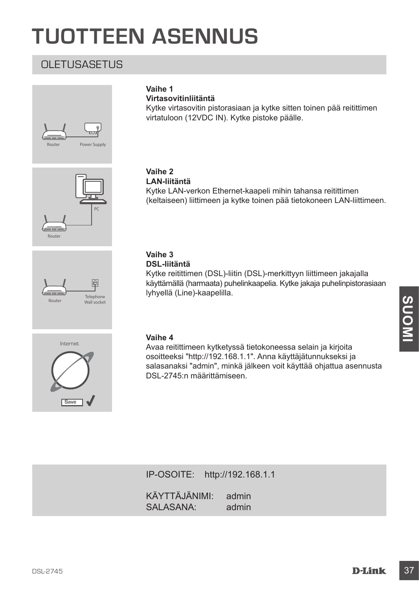# **TUOTTEEN ASENNUS**

# OLETUSASETUS







### **Vaihe 1**

**Virtasovitinliitäntä**

Kytke virtasovitin pistorasiaan ja kytke sitten toinen pää reitittimen virtatuloon (12VDC IN). Kytke pistoke päälle.

#### **Vaihe 2 LAN-liitäntä**

Kytke LAN-verkon Ethernet-kaapeli mihin tahansa reitittimen (keltaiseen) liittimeen ja kytke toinen pää tietokoneen LAN-liittimeen.

#### **Vaihe 3 DSL-liitäntä**

Kytke reitittimen (DSL)-liitin (DSL)-merkittyyn liittimeen jakajalla käyttämällä (harmaata) puhelinkaapelia. Kytke jakaja puhelinpistorasiaan lyhyellä (Line)-kaapelilla.



#### **Vaihe 4**

**Vaihe 4**<br>
Waihe 4<br>
Avaa relittimeen kytketyssä tietokoneessa selain ja kirjoita<br>
osoitteeksi "http://192.168.1.1". Anna käyttäjätunnukseksi ja<br>
DSL-2745:n määrittämiseen.<br>
DSL-2745:n määrittämiseen.<br>
P-OSOITE: http://192. Avaa reitittimeen kytketyssä tietokoneessa selain ja kirjoita osoitteeksi "http://192.168.1.1". Anna käyttäjätunnukseksi ja salasanaksi "admin", minkä jälkeen voit käyttää ohjattua asennusta DSL-2745:n määrittämiseen.

IP-OSOITE: http://192.168.1.1 KÄYTTÄJÄNIMI: admin SALASANA: admin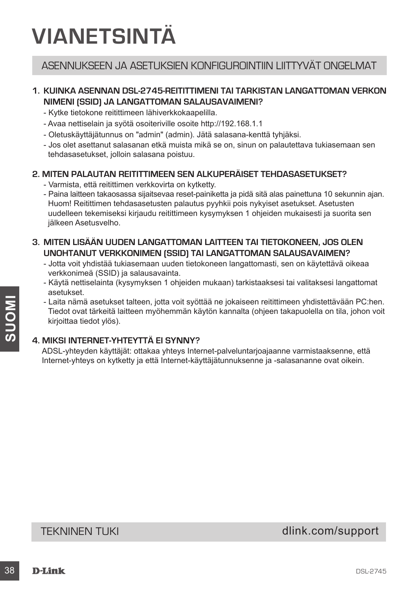# **VIANETSINTÄ**

# ASENNUKSEEN JA ASETUKSIEN KONFIGUROINTIIN LIITTYVÄT ONGELMAT

### **1. KUINKA ASENNAN DSL-2745-REITITTIMENI TAI TARKISTAN LANGATTOMAN VERKON NIMENI (SSID) JA LANGATTOMAN SALAUSAVAIMENI?**

- Kytke tietokone reitittimeen lähiverkkokaapelilla.
- Avaa nettiselain ja syötä osoiteriville osoite http://192.168.1.1
- Oletuskäyttäjätunnus on "admin" (admin). Jätä salasana-kenttä tyhjäksi.
- Jos olet asettanut salasanan etkä muista mikä se on, sinun on palautettava tukiasemaan sen tehdasasetukset, jolloin salasana poistuu.

#### **2. MITEN PALAUTAN REITITTIMEEN SEN ALKUPERÄISET TEHDASASETUKSET?**

- Varmista, että reitittimen verkkovirta on kytketty.
- Paina laitteen takaosassa sijaitsevaa reset-painiketta ja pidä sitä alas painettuna 10 sekunnin ajan. Huom! Reitittimen tehdasasetusten palautus pyyhkii pois nykyiset asetukset. Asetusten uudelleen tekemiseksi kirjaudu reitittimeen kysymyksen 1 ohjeiden mukaisesti ja suorita sen jälkeen Asetusvelho.

### **3. MITEN LISÄÄN UUDEN LANGATTOMAN LAITTEEN TAI TIETOKONEEN, JOS OLEN UNOHTANUT VERKKONIMEN (SSID) TAI LANGATTOMAN SALAUSAVAIMEN?**

- Jotta voit yhdistää tukiasemaan uuden tietokoneen langattomasti, sen on käytettävä oikeaa verkkonimeä (SSID) ja salausavainta.
- Käytä nettiselainta (kysymyksen 1 ohjeiden mukaan) tarkistaaksesi tai valitaksesi langattomat asetukset.
- <del>-</del> Laita nämä asetukset talteen, jotta voit syöttää ne jokaiseen reitittimeen yhdistettävään PC:hen.<br>
Tedot ovat tärkeitä laitteen myöhemmän käytön kannalta (ohjeen takapuolella on tila, johon voit<br>
sirjoittaa tiedot yl - Laita nämä asetukset talteen, jotta voit syöttää ne jokaiseen reitittimeen yhdistettävään PC:hen. Tiedot ovat tärkeitä laitteen myöhemmän käytön kannalta (ohjeen takapuolella on tila, johon voit kirjoittaa tiedot ylös).

# **4. MIKSI INTERNET-YHTEYTTÄ EI SYNNY?**

ADSL-yhteyden käyttäjät: ottakaa yhteys Internet-palveluntarjoajaanne varmistaaksenne, että Internet-yhteys on kytketty ja että Internet-käyttäjätunnuksenne ja -salasananne ovat oikein.

TEKNINEN TUKI dink.com/support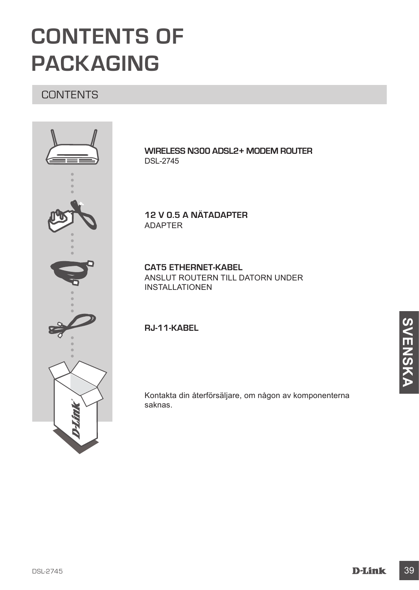# **CONTENTS OF PACKAGING**

# **CONTENTS**



**WIRELESS N300 ADSL2+ MODEM ROUTER** DSL-2745

**12 V 0.5 A NÄTADAPTER** ADAPTER

**CAT5 ETHERNET-KABEL** ANSLUT ROUTERN TILL DATORN UNDER INSTALLATIONEN

**RJ-11-KABEL**

Kontakta din återförsäljare, om någon av komponenterna saknas.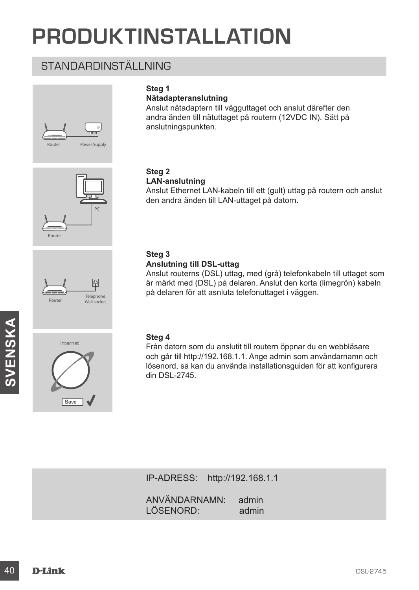# **PRODUKTINSTALLATION**

# STANDARDINSTÄLLNING









# **Steg 1**

#### **Nätadapteranslutning**

Anslut nätadaptern till vägguttaget och anslut därefter den andra änden till nätuttaget på routern (12VDC IN). Sätt på anslutningspunkten.

#### **Steg 2 LAN-anslutning**

Anslut Ethernet LAN-kabeln till ett (gult) uttag på routern och anslut den andra änden till LAN-uttaget på datorn.

# **Steg 3**

#### **Anslutning till DSL-uttag**

Anslut routerns (DSL) uttag, med (grå) telefonkabeln till uttaget som är märkt med (DSL) på delaren. Anslut den korta (limegrön) kabeln på delaren för att asnluta telefonuttaget i väggen.

#### **Steg 4**

Steg 4<br>
Från datom som du anslutit till routern öppnar du en webbläsare<br>
och går till http://192.168.1.1. Ange admin som användarnamn och<br>
ISB-2745.<br>
IP-ADRESS: http://192.168.1.1<br>
IP-ADRESS: http://192.168.1.1<br>
ANVÄNDARNA Från datorn som du anslutit till routern öppnar du en webbläsare och går till http://192.168.1.1. Ange admin som användarnamn och lösenord, så kan du använda installationsguiden för att konfigurera din DSL-2745.

IP-ADRESS: http://192.168.1.1

ANVÄNDARNAMN: admin LÖSENORD: admin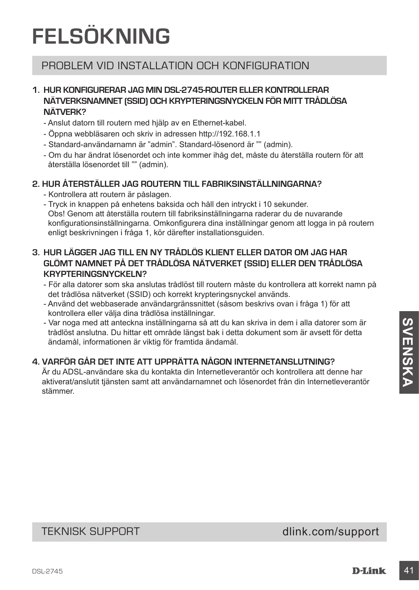# **FELSÖKNING**

# PROBLEM VID INSTALLATION OCH KONFIGURATION

### **1. HUR KONFIGURERAR JAG MIN DSL-2745-ROUTER ELLER KONTROLLERAR NÄTVERKSNAMNET (SSID) OCH KRYPTERINGSNYCKELN FÖR MITT TRÅDLÖSA NÄTVERK?**

- Anslut datorn till routern med hjälp av en Ethernet-kabel.
- Öppna webbläsaren och skriv in adressen http://192.168.1.1
- Standard-användarnamn är "admin". Standard-lösenord är "" (admin).
- Om du har ändrat lösenordet och inte kommer ihåg det, måste du återställa routern för att återställa lösenordet till "" (admin).

### **2. HUR ÅTERSTÄLLER JAG ROUTERN TILL FABRIKSINSTÄLLNINGARNA?**

- Kontrollera att routern är påslagen.
- Tryck in knappen på enhetens baksida och håll den intryckt i 10 sekunder. Obs! Genom att återställa routern till fabriksinställningarna raderar du de nuvarande konfigurationsinställningarna. Omkonfigurera dina inställningar genom att logga in på routern enligt beskrivningen i fråga 1, kör därefter installationsguiden.

### **3. HUR LÄGGER JAG TILL EN NY TRÅDLÖS KLIENT ELLER DATOR OM JAG HAR GLÖMT NAMNET PÅ DET TRÅDLÖSA NÄTVERKET (SSID) ELLER DEN TRÅDLÖSA KRYPTERINGSNYCKELN?**

- För alla datorer som ska anslutas trådlöst till routern måste du kontrollera att korrekt namn på det trådlösa nätverket (SSID) och korrekt krypteringsnyckel används.
- Använd det webbaserade användargränssnittet (såsom beskrivs ovan i fråga 1) för att kontrollera eller välja dina trådlösa inställningar.
- Var noga med att anteckna inställningarna så att du kan skriva in dem i alla datorer som är trådlöst anslutna. Du hittar ett område längst bak i detta dokument som är avsett för detta ändamål, informationen är viktig för framtida ändamål.

# **4. VARFÖR GÅR DET INTE ATT UPPRÄTTA NÅGON INTERNETANSLUTNING?**

- Var noga med att anteckna installning<br>
annouga med att anteckna installning annouga sà att du kan skivto in dem i alla datorer som a<br>
tradiost anslutna. Du hittar ett område längst bak i deta dokument som är avsett för d Är du ADSL-användare ska du kontakta din Internetleverantör och kontrollera att denne har aktiverat/anslutit tjänsten samt att användarnamnet och lösenordet från din Internetleverantör stämmer.

TEKNISK SUPPORT dlink.com/support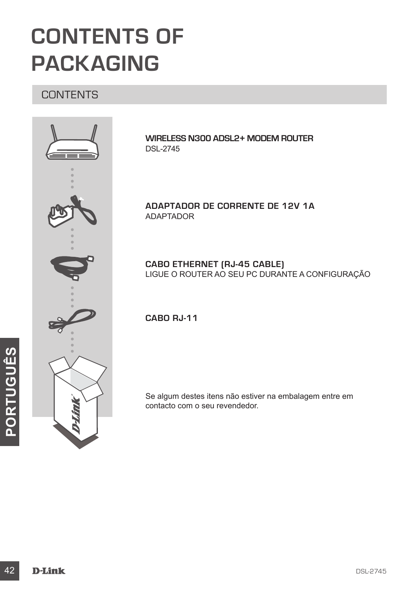# **CONTENTS OF PACKAGING**

# **CONTENTS**



**WIRELESS N300 ADSL2+ MODEM ROUTER** DSL-2745

**ADAPTADOR DE CORRENTE DE 12V 1A** ADAPTADOR

**CABO ETHERNET (RJ-45 CABLE)** LIGUE O ROUTER AO SEU PC DURANTE A CONFIGURAÇÃO

**CABO RJ-11** 

Se algum destes itens não estiver na embalagem entre em contacto com o seu revendedor.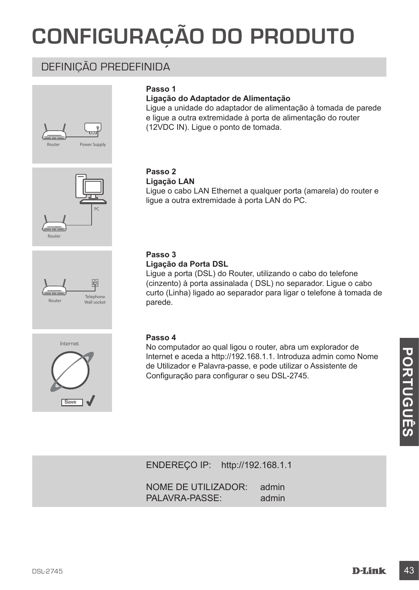# **CONFIGURAÇÃO DO PRODUTO**

# DEFINIÇÃO PREDEFINIDA





#### **Ligação do Adaptador de Alimentação**

Ligue a unidade do adaptador de alimentação à tomada de parede e ligue a outra extremidade à porta de alimentação do router (12VDC IN). Ligue o ponto de tomada.





#### **Passo 2 Ligação LAN**

Ligue o cabo LAN Ethernet a qualquer porta (amarela) do router e ligue a outra extremidade à porta LAN do PC.

### **Passo 3**

#### **Ligação da Porta DSL**

Ligue a porta (DSL) do Router, utilizando o cabo do telefone (cinzento) à porta assinalada ( DSL) no separador. Ligue o cabo curto (Linha) ligado ao separador para ligar o telefone à tomada de parede.



### **Passo 4**

Meterior e Palavra-passe, e pode utilizar o Assistente de<br>
de Utilizador e Palavra-passe, e pode utilizar o Assistente de<br>
Configuração para configurar o seu DSL-2745.<br>
Sance V<br>
ENDEREÇO IP: http://192.168.1.1<br>
NOME DE UTI No computador ao qual ligou o router, abra um explorador de Internet e aceda a http://192.168.1.1. Introduza admin como Nome de Utilizador e Palavra-passe, e pode utilizar o Assistente de Configuração para configurar o seu DSL-2745.

ENDEREÇO IP: http://192.168.1.1

NOME DE UTILIZADOR: admin PALAVRA-PASSE: admin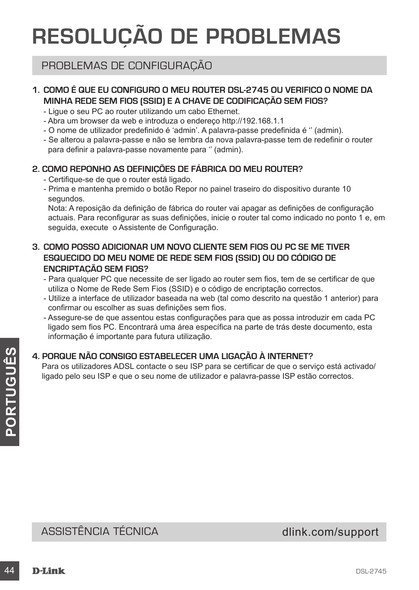# **RESOLUÇÃO DE PROBLEMAS**

# PROBLEMAS DE CONFIGURAÇÃO

# **1. COMO É QUE EU CONFIGURO O MEU ROUTER DSL-2745 OU VERIFICO O NOME DA MINHA REDE SEM FIOS (SSID) E A CHAVE DE CODIFICAÇÃO SEM FIOS?**

- Ligue o seu PC ao router utilizando um cabo Ethernet.
- Abra um browser da web e introduza o endereço http://192.168.1.1
- O nome de utilizador predefinido é 'admin'. A palavra-passe predefinida é '' (admin).
- Se alterou a palavra-passe e não se lembra da nova palavra-passe tem de redefinir o router para definir a palavra-passe novamente para '' (admin).

# **2. COMO REPONHO AS DEFINIÇÕES DE FÁBRICA DO MEU ROUTER?**

- Certifique-se de que o router está ligado.
- Prima e mantenha premido o botão Repor no painel traseiro do dispositivo durante 10 segundos.

Nota: A reposição da definição de fábrica do router vai apagar as definições de configuração actuais. Para reconfigurar as suas definições, inicie o router tal como indicado no ponto 1 e, em seguida, execute o Assistente de Configuração.

- **3. COMO POSSO ADICIONAR UM NOVO CLIENTE SEM FIOS OU PC SE ME TIVER ESQUECIDO DO MEU NOME DE REDE SEM FIOS (SSID) OU DO CÓDIGO DE ENCRIPTAÇÃO SEM FIOS?**
	- Para qualquer PC que necessite de ser ligado ao router sem fios, tem de se certificar de que utiliza o Nome de Rede Sem Fios (SSID) e o código de encriptação correctos.
	- Utilize a interface de utilizador baseada na web (tal como descrito na questão 1 anterior) para confirmar ou escolher as suas definições sem fios.
	- Assegure-se de que assentou estas configurações para que as possa introduzir em cada PC ligado sem fios PC. Encontrará uma área específica na parte de trás deste documento, esta informação é importante para futura utilização.

# **4. PORQUE NÃO CONSIGO ESTABELECER UMA LIGAÇÃO À INTERNET?**

4. PORQUE NÃO CONSIGO ESTABELECER UMA LIGAÇÃO À INTERNET?<br>
Para os utilizadores ADSL contacte o seu ISP para se certificar de que o serviço está activado/<br>
ligado pelo seu ISP e que o seu nome de utilizador e palavra-passe Para os utilizadores ADSL contacte o seu ISP para se certificar de que o serviço está activado/ ligado pelo seu ISP e que o seu nome de utilizador e palavra-passe ISP estão correctos.

# ASSISTÊNCIA TÉCNICA dlink.com/support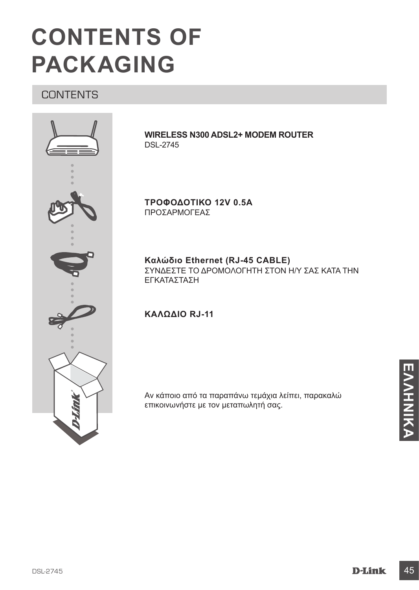

# **CONTENTS OF PACKAGING**

# **CONTENTS**



**WIRELESS N300 ADSL2+ MODEM ROUTER** DSL-2745

**ΤΡΟΦΟΔΟΤΙΚΟ 12V 0.5A** ΠΡΟΣΑΡΜΟΓΕΑΣ

**Καλώδιο Ethernet (RJ-45 CABLE)** ΣΥΝΔΕΣΤΕ ΤΟ ΔΡΟΜΟΛΟΓΗΤΗ ΣΤΟΝ Η/Υ ΣΑΣ ΚΑΤΑ ΤΗΝ ΕΓΚΑΤΑΣΤΑΣΗ

### **ΚΑΛΏΔΙΟ RJ-11**

Αν κάποιο από τα παραπάνω τεμάχια λείπει, παρακαλώ επικοινωνήστε με τον μεταπωλητή σας.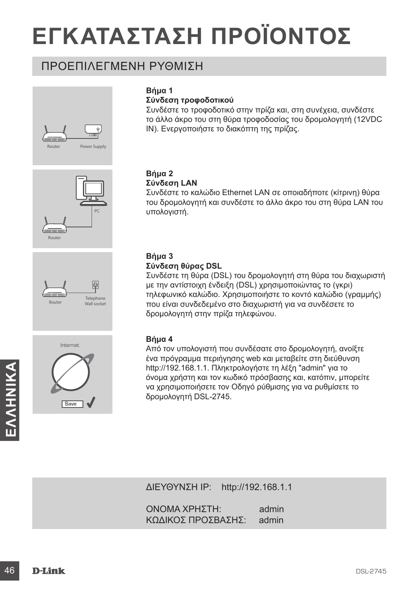# **ΕΓΚΑΤΑΣΤΑΣΗ ΠΡΟΪΟΝΤΟΣ**

# ΠΡΟΕΠΙΛΕΓΜΕΝΗ ΡΥΘΜΙΣΗ









# **Βήμα 1**

#### **Σύνδεση τροφοδοτικού**

Συνδέστε το τροφοδοτικό στην πρίζα και, στη συνέχεια, συνδέστε το άλλο άκρο του στη θύρα τροφοδοσίας του δρομολογητή (12VDC IN). Ενεργοποιήστε το διακόπτη της πρίζας.

#### **Βήμα 2 Σύνδεση LAN**

Συνδέστε το καλώδιο Ethernet LAN σε οποιαδήποτε (κίτρινη) θύρα του δρομολογητή και συνδέστε το άλλο άκρο του στη θύρα LAN του υπολογιστή.

### **Βήμα 3 Σύνδεση θύρας DSL**

Συνδέστε τη θύρα (DSL) του δρομολογητή στη θύρα του διαχωριστή με την αντίστοιχη ένδειξη (DSL) χρησιμοποιώντας το (γκρι) τηλεφωνικό καλώδιο. Χρησιμοποιήστε το κοντό καλώδιο (γραμμής) που είναι συνδεδεμένο στο διαχωριστή για να συνδέσετε το δρομολογητή στην πρίζα τηλεφώνου.

### **Βήμα 4**

Methel/192.168.1.1. Πληκτρολογήστε τη λέξη "admin" για το όνομα χρήστη και κατόπιν, μπορείτε να χρησιμοποιήσετε τον Οδηγό ρύθμισης για να ρυθμίσετε το δρομολογητή DSL-2745.<br> **ΕΛΛΕΙΣ ΤΟ ΠΑΛΑ ΤΑ ΤΑ ΤΑ ΤΑ ΤΑ ΤΑ ΤΑ ΤΑ ΤΑ ΤΑ Τ** Από τον υπολογιστή που συνδέσατε στο δρομολογητή, ανοίξτε ένα πρόγραμμα περιήγησης web και μεταβείτε στη διεύθυνση http://192.168.1.1. Πληκτρολογήστε τη λέξη "admin" για το όνομα χρήστη και τον κωδικό πρόσβασης και, κατόπιν, μπορείτε να χρησιμοποιήσετε τον Οδηγό ρύθμισης για να ρυθμίσετε το δρομολογητή DSL-2745.

ΔΙΕΥΘΥΝΣΗ IP: http://192.168.1.1

ΟΝΟΜΑ ΧΡΗΣΤΗ: admin ΚΩΔΙΚΟΣ ΠΡΟΣΒΑΣΗΣ: admin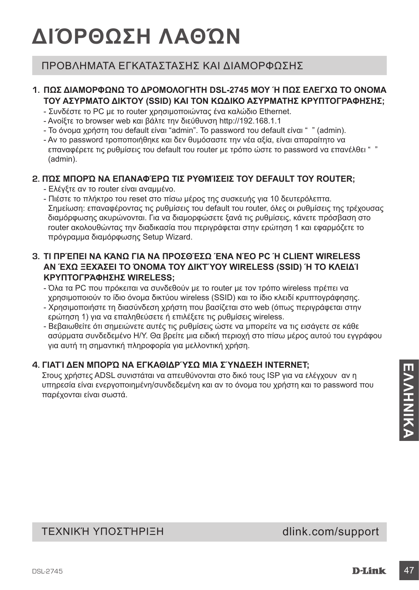# **ΔΙΌΡΘΩΣΗ ΛΑΘΏΝ**

# ΠΡΟΒΛΗΜΑΤΑ ΕΓΚΑΤΑΣΤΑΣΗΣ ΚΑΙ ΔΙΑΜΟΡΦΩΣΗΣ

# **1. ΠΩΣ ΔΙΑΜΟΡΦΩΝΩ ΤΟ ΔΡΟΜΟΛΟΓΗΤΗ DSL-2745 ΜΟΥ Ή ΠΩΣ ΕΛΕΓΧΩ ΤΟ ΟΝΟΜΑ ΤΟΥ ΑΣΥΡΜΑΤΟ ΔΙΚΤΟΥ (SSID) ΚΑΙ ΤΟΝ ΚΩΔΙΚΟ ΑΣΥΡΜΑΤΗΣ ΚΡΥΠΤΟΓΡΑΦΗΣΗΣ;**

- Συνδέστε το PC με το router χρησιμοποιώντας ένα καλώδιο Ethernet.
- Ανοίξτε το browser web και βάλτε την διεύθυνση http://192.168.1.1
- Το όνομα χρήστη του default είναι "admin". Το password του default είναι " " (admin).
- Αν το password τροποποιήθηκε και δεν θυμόσαστε την νέα αξία, είναι απαραίτητο να επαναφέρετε τις ρυθμίσεις του default του router με τρόπο ώστε το password να επανέλθει " " (admin).

### **2. ΠΏΣ ΜΠΟΡΏ ΝΑ ΕΠΑΝΑΦΈΡΩ ΤΙΣ ΡΥΘΜΊΣΕΙΣ ΤΟΥ DEFAULT ΤΟΥ ROUTER;**

- Ελέγξτε αν το router είναι αναμμένο.
- Πιέστε το πλήκτρο του reset στο πίσω μέρος της συσκευής για 10 δευτερόλεπτα. Σημείωση: επαναφέροντας τις ρυθμίσεις του default του router, όλες οι ρυθμίσεις της τρέχουσας διαμόρφωσης ακυρώνονται. Για να διαμορφώσετε ξανά τις ρυθμίσεις, κάνετε πρόσβαση στο router ακολουθώντας την διαδικασία που περιγράφεται στην ερώτηση 1 και εφαρμόζετε το πρόγραμμα διαμόρφωσης Setup Wizard.

### **3. ΤΙ ΠΡΈΠΕΙ ΝΑ ΚΆΝΩ ΓΙΑ ΝΑ ΠΡΟΣΘΈΣΩ ΈΝΑ ΝΈΟ PC Ή CLIENT WIRELESS ΑΝ ΈΧΩ ΞΕΧΆΣΕΙ ΤΟ ΌΝΟΜΑ ΤΟΥ ΔΙΚΤΎΟΥ WIRELESS (SSID) Ή ΤΟ ΚΛΕΙΔΊ ΚΡΥΠΤΟΓΡΆΦΗΣΗΣ WIRELESS;**

- Όλα τα PC που πρόκειται να συνδεθούν με το router με τον τρόπο wireless πρέπει να χρησιμοποιούν το ίδιο όνομα δικτύου wireless (SSID) και το ίδιο κλειδί κρυπτογράφησης.
- Χρησιμοποιήστε τη διασύνδεση χρήστη που βασίζεται στο web (όπως περιγράφεται στην ερώτηση 1) για να επαληθεύσετε ή επιλέξετε τις ρυθμίσεις wireless.
- Βεβαιωθείτε ότι σημειώνετε αυτές τις ρυθμίσεις ώστε να μπορείτε να τις εισάγετε σε κάθε ασύρματα συνδεδεμένο Η/Υ. Θα βρείτε μια ειδική περιοχή στο πίσω μέρος αυτού του εγγράφου για αυτή τη σημαντική πληροφορία για μελλοντική χρήση.

# **4. ΓΙΑΤΊ ΔΕΝ ΜΠΟΡΏ ΝΑ ΕΓΚΑΘΙΔΡΎΣΩ ΜΙΑ ΣΎΝΔΕΣΗ INTERNET;**

4. ΓΙΑΤΙΔΕΝ ΜΠΟΡΩ ΝΑ ΕΙ ΚΑΘΙΔΡ ΥΣΩ!<br>
Στους χρήστες ADSL αυνιστάται να απευθύνονται στο δικό τους ISP για να ελέγχουν αν η<br>
υπηρεσία είναι ενεργοποιημένη/συνδεδεμένη και αν το όνομα του χρήστη και το password που<br>
παρέχοντ Στους χρήστες ADSL συνιστάται να απευθύνονται στο δικό τους ISP για να ελέγχουν αν η υπηρεσία είναι ενεργοποιημένη/συνδεδεμένη και αν το όνομα του χρήστη και το password που παρέχονται είναι σωστά.

# ΤΕΧΝΙΚΉ ΥΠΟΣΤΉΡΙΞΗ dlink.com/support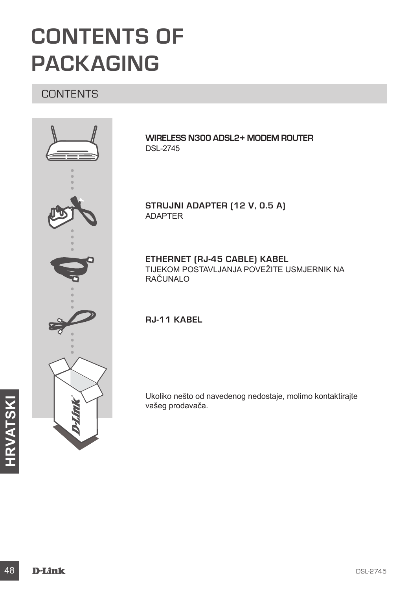# **CONTENTS OF PACKAGING**

# CONTENTS



**WIRELESS N300 ADSL2+ MODEM ROUTER** DSL-2745

**STRUJNI ADAPTER (12 V, 0.5 A)** ADAPTER

**ETHERNET (RJ-45 CABLE) KABEL** TIJEKOM POSTAVLJANJA POVEŽITE USMJERNIK NA RAČUNALO

**RJ-11 KABEL**

Ukoliko nešto od navedenog nedostaje, molimo kontaktirajte vašeg prodavača.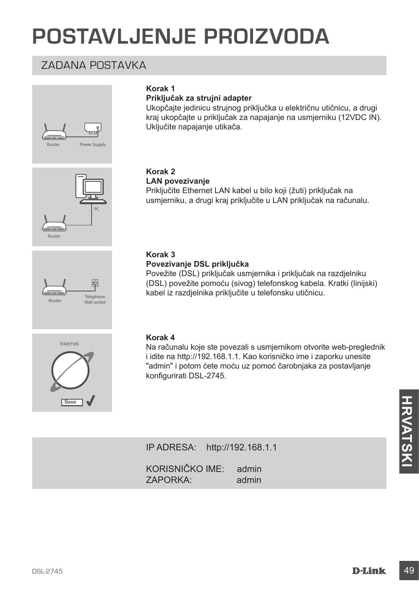# **POSTAVLJENJE PROIZVODA**

# ZADANA POSTAVKA





#### **Priključak za strujni adapter**

Ukopčajte jedinicu strujnog priključka u električnu utičnicu, a drugi kraj ukopčajte u priključak za napajanje na usmjerniku (12VDC IN). Uključite napajanje utikača.

# Router PC



# **LAN povezivanje**

**Korak 2**

Priključite Ethernet LAN kabel u bilo koji (žuti) priključak na usmjerniku, a drugi kraj priključite u LAN priključak na računalu.

#### **Korak 3**

#### **Povezivanje DSL priključka**

Povežite (DSL) priključak usmjernika i priključak na razdjelniku (DSL) povežite pomoću (sivog) telefonskog kabela. Kratki (linijski) kabel iz razdjelnika priključite u telefonsku utičnicu.



#### **Korak 4**

Na računalu koje ste povezali s usmjernikom otvorite web-preglednik i idite na http://192.168.1.1. Kao korisničko ime i zaporku unesite "admin" i potom ćete moću uz pomoć čarobnjaka za postavljanje konfigurirati DSL-2745.

| <b>Save</b> |                                               |               | <b>HRVATSKI</b> |
|-------------|-----------------------------------------------|---------------|-----------------|
|             |                                               |               |                 |
|             | IP ADRESA: http://192.168.1.1                 |               |                 |
|             | KORISNIČKO IME:<br>admin<br>ZAPORKA:<br>admin |               |                 |
|             |                                               |               |                 |
|             |                                               |               |                 |
|             |                                               |               |                 |
| DSL-2745    |                                               | <b>D-Link</b> | 49              |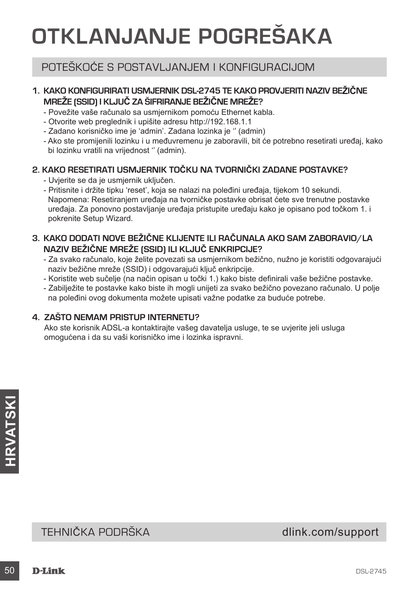# **OTKLANJANJE POGREŠAKA**

# POTEŠKOĆE S POSTAVLJANJEM I KONFIGURACIJOM

# **1. KAKO KONFIGURIRATI USMJERNIK DSL-2745 TE KAKO PROVJERITI NAZIV BEŽIČNE MREŽE (SSID) I KLJUČ ZA ŠIFRIRANJE BEŽIČNE MREŽE?**

- Povežite vaše računalo sa usmjernikom pomoću Ethernet kabla.
- Otvorite web preglednik i upišite adresu http://192.168.1.1
- Zadano korisničko ime je 'admin'. Zadana lozinka je '' (admin)
- Ako ste promijenili lozinku i u međuvremenu je zaboravili, bit će potrebno resetirati uređaj, kako bi lozinku vratili na vrijednost '' (admin).

# **2. KAKO RESETIRATI USMJERNIK TOČKU NA TVORNIČKI ZADANE POSTAVKE?**

- Uvjerite se da je usmjernik uključen.
- Pritisnite i držite tipku 'reset', koja se nalazi na poleđini uređaja, tijekom 10 sekundi. Napomena: Resetiranjem uređaja na tvorničke postavke obrisat ćete sve trenutne postavke uređaja. Za ponovno postavljanje uređaja pristupite uređaju kako je opisano pod točkom 1. i pokrenite Setup Wizard.

# **3. KAKO DODATI NOVE BEŽIČNE KLIJENTE ILI RAČUNALA AKO SAM ZABORAVIO/LA NAZIV BEŽIČNE MREŽE (SSID) ILI KLJUČ ENKRIPCIJE?**

- Za svako računalo, koje želite povezati sa usmjernikom bežično, nužno je koristiti odgovarajući naziv bežične mreže (SSID) i odgovarajući ključ enkripcije.
- Koristite web sučelje (na način opisan u točki 1.) kako biste definirali vaše bežične postavke.
- Zabilježite te postavke kako biste ih mogli unijeti za svako bežično povezano računalo. U polje na poleđini ovog dokumenta možete upisati važne podatke za buduće potrebe.

# **4. ZAŠTO NEMAM PRISTUP INTERNETU?**

Ako ste korisnik ADSL-a kontaktirajte vašeg davatelja usluge, te se uvjerite jeli usluga omogućena i da su vaši korisničko ime i lozinka ispravni.

# **SALATAN**<br>TEHNIČKA PODRŠKA<br>50 **D-Link** DSL-2745 TEHNIČKA PODRŠKA do nastave dlink.com/support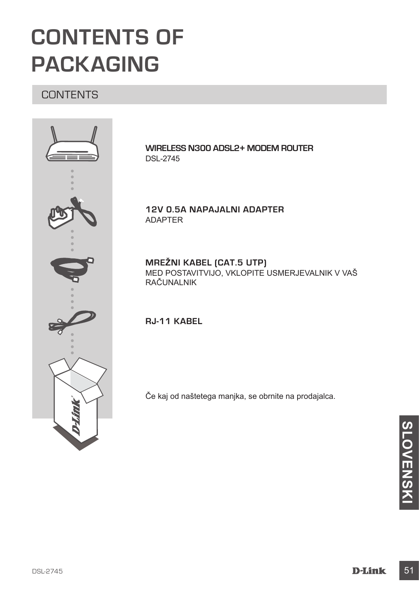# **CONTENTS OF PACKAGING**

# **CONTENTS**



**WIRELESS N300 ADSL2+ MODEM ROUTER** DSL-2745

**12V 0.5A NAPAJALNI ADAPTER** ADAPTER

**MREŽNI KABEL (CAT.5 UTP)** MED POSTAVITVIJO, VKLOPITE USMERJEVALNIK V VAŠ RAČUNALNIK

**RJ-11 KABEL**

Če kaj od naštetega manjka, se obrnite na prodajalca.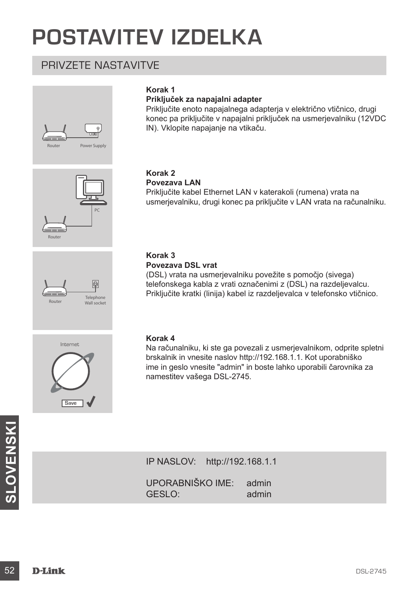# **POSTAVITEV IZDELKA**

# PRIVZETE NASTAVITVE









#### **Priključek za napajalni adapter**

Priključite enoto napajalnega adapterja v električno vtičnico, drugi konec pa priključite v napajalni priključek na usmerjevalniku (12VDC IN). Vklopite napajanje na vtikaču.

# **Korak 2**

#### **Povezava LAN**

Priključite kabel Ethernet LAN v katerakoli (rumena) vrata na usmerjevalniku, drugi konec pa priključite v LAN vrata na računalniku.

#### **Korak 3 Povezava DSL vrat**

(DSL) vrata na usmerjevalniku povežite s pomočjo (sivega) telefonskega kabla z vrati označenimi z (DSL) na razdeljevalcu. Priključite kratki (linija) kabel iz razdeljevalca v telefonsko vtičnico.



#### **Korak 4**

Na računalniku, ki ste ga povezali z usmerjevalnikom, odprite spletni brskalnik in vnesite naslov http://192.168.1.1. Kot uporabniško ime in geslo vnesite "admin" in boste lahko uporabili čarovnika za namestitev vašega DSL-2745.

IP NASLOV: http://192.168.1.1

**SAMBOURSKINGS**<br>
IP NASLOV: http://192.168.1.1<br>
UPORABNIŠKO IME: admin<br>
GESLO:<br> **D-Link**<br>
D-Link<br>
D-Link UPORABNIŠKO IME: admin<br>GESLO: admin  $GFSL$ <sup>o</sup>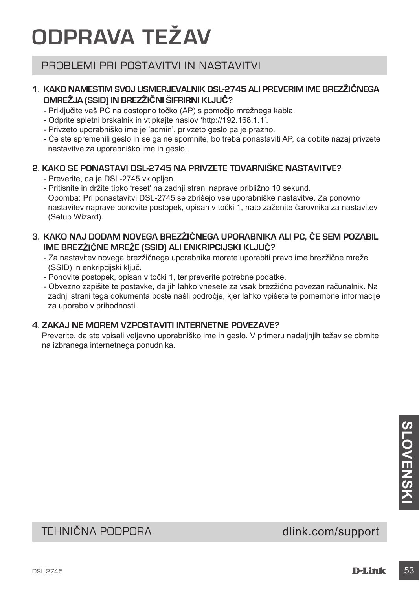# **ODPRAVA TEŽAV**

# PROBLEMI PRI POSTAVITVI IN NASTAVITVI

# **1. KAKO NAMESTIM SVOJ USMERJEVALNIK DSL-2745 ALI PREVERIM IME BREZŽIČNEGA OMREŽJA (SSID) IN BREZŽIČNI ŠIFRIRNI KLJUČ?**

- Priključite vaš PC na dostopno točko (AP) s pomočjo mrežnega kabla.
- Odprite spletni brskalnik in vtipkajte naslov 'http://192.168.1.1'.
- Privzeto uporabniško ime je 'admin', privzeto geslo pa je prazno.
- Če ste spremenili geslo in se ga ne spomnite, bo treba ponastaviti AP, da dobite nazaj privzete nastavitve za uporabniško ime in geslo.

### **2. KAKO SE PONASTAVI DSL-2745 NA PRIVZETE TOVARNIŠKE NASTAVITVE?**

- Preverite, da je DSL-2745 vklopljen.
- Pritisnite in držite tipko 'reset' na zadnji strani naprave približno 10 sekund. Opomba: Pri ponastavitvi DSL-2745 se zbrišejo vse uporabniške nastavitve. Za ponovno nastavitev naprave ponovite postopek, opisan v točki 1, nato zaženite čarovnika za nastavitev (Setup Wizard).

# **3. KAKO NAJ DODAM NOVEGA BREZŽIČNEGA UPORABNIKA ALI PC, ČE SEM POZABIL IME BREZŽIČNE MREŽE (SSID) ALI ENKRIPCIJSKI KLJUČ?**

- Za nastavitev novega brezžičnega uporabnika morate uporabiti pravo ime brezžične mreže (SSID) in enkripcijski ključ.
- Ponovite postopek, opisan v točki 1, ter preverite potrebne podatke.
- Obvezno zapišite te postavke, da jih lahko vnesete za vsak brezžično povezan računalnik. Na zadnji strani tega dokumenta boste našli področje, kjer lahko vpišete te pomembne informacije za uporabo v prihodnosti.

### **4. ZAKAJ NE MOREM VZPOSTAVITI INTERNETNE POVEZAVE?**

Preverite, da ste vpisali veljavno uporabniško ime in geslo. V primeru nadaljnjih težav se obrnite na izbranega internetnega ponudnika.

# **COLONEY COLONEY AND COLONEY AT SAID A SAMPLE OF A SAMPLE OF A SAMPLE OF A SAMPLE OF A SAMPLE OF A SAMPLE OF A SAMPLE OF A SAMPLE OF A SAMPLE OF A SAMPLE OF A SAMPLE OF A SAMPLE OF A SAMPLE OF A SAMPLE OF A SAMPLE OF A SAM** TEHNIČNA PODPORA dlink.com/support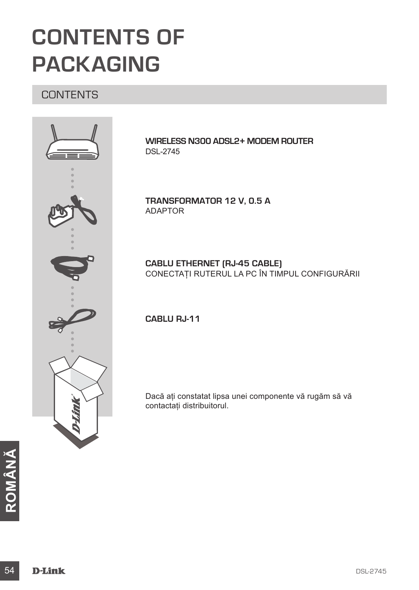# **CONTENTS OF PACKAGING**

# **CONTENTS**



**WIRELESS N300 ADSL2+ MODEM ROUTER** DSL-2745

**TRANSFORMATOR 12 V, 0.5 A** ADAPTOR

**CABLU ETHERNET (RJ-45 CABLE)** CONECTAŢI RUTERUL LA PC ÎN TIMPUL CONFIGURĂRII

**CABLU RJ-11**

Dacă aţi constatat lipsa unei componente vă rugăm să vă contactaţi distribuitorul.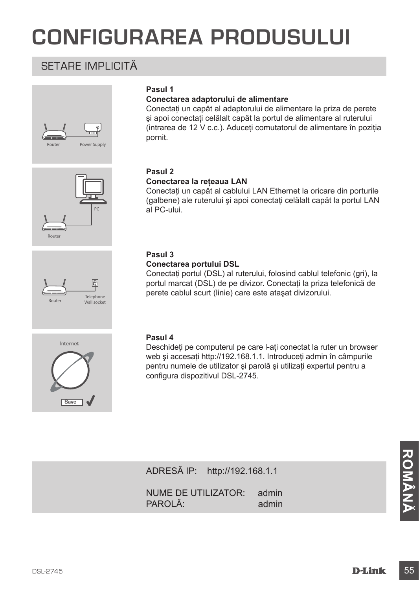# **CONFIGURAREA PRODUSULUI**

# SETARE IMPLICITĂ







#### **Pasul 1**

#### **Conectarea adaptorului de alimentare**

Conectaţi un capăt al adaptorului de alimentare la priza de perete şi apoi conectaţi celălalt capăt la portul de alimentare al ruterului (intrarea de 12 V c.c.). Aduceti comutatorul de alimentare în pozitia pornit.

#### **Pasul 2**

#### **Conectarea la reţeaua LAN**

Conectati un capăt al cablului LAN Ethernet la oricare din porturile (galbene) ale ruterului și apoi conectati celălalt capăt la portul LAN al PC-ului.

#### **Pasul 3**

#### **Conectarea portului DSL**

Conectati portul (DSL) al ruterului, folosind cablul telefonic (gri), la portul marcat (DSL) de pe divizor. Conectati la priza telefonică de perete cablul scurt (linie) care este ataşat divizorului.



#### **Pasul 4**

Deschideti pe computerul pe care l-ati conectat la ruter un browser web și accesati http://192.168.1.1. Introduceti admin în câmpurile pentru numele de utilizator şi parolă şi utilizaţi expertul pentru a configura dispozitivul DSL-2745.

ADRESĂ IP: http://192.168.1.1

ADRESĂ IP: http://192.168.1.1<br>
NUME DE UTILIZATOR: admin<br>
PAROLĂ: admin<br>
DBL-2745<br>
DBL-2745<br>
DBL-2745 NUME DE UTILIZATOR: admin PAROLĂ<sup>:</sup> admin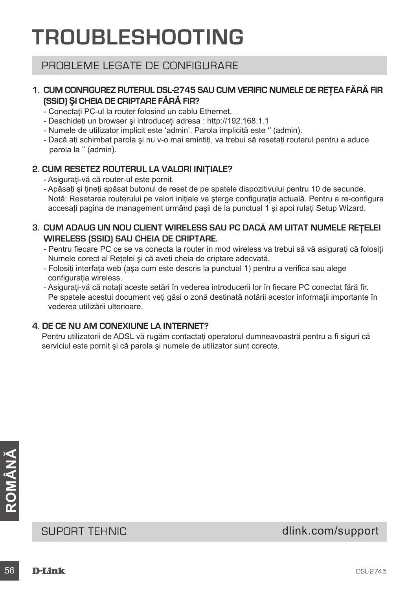# **TROUBLESHOOTING**

# PROBLEME LEGATE DE CONFIGURARE

### **1. CUM CONFIGUREZ RUTERUL DSL-2745 SAU CUM VERIFIC NUMELE DE REŢEA FĂRĂ FIR (SSID) ŞI CHEIA DE CRIPTARE FĂRĂ FIR?**

- Conectati PC-ul la router folosind un cablu Ethernet.
- Deschideti un browser si introduceti adresa : http://192.168.1.1
- Numele de utilizator implicit este 'admin'. Parola implicită este '' (admin).
- Dacă ati schimbat parola și nu v-o mai amintiți, va trebui să resetați routerul pentru a aduce parola la '' (admin).

#### **2. CUM RESETEZ ROUTERUL LA VALORI INIŢIALE?**

- Asiguraţi-vă că router-ul este pornit.
- Apăsaţi şi ţineţi apăsat butonul de reset de pe spatele dispozitivului pentru 10 de secunde. Notă: Resetarea routerului pe valori inițiale va sterge configurația actuală. Pentru a re-configura accesati pagina de management urmând pasii de la punctual 1 și apoi rulați Setup Wizard.

### **3. CUM ADAUG UN NOU CLIENT WIRELESS SAU PC DACĂ AM UITAT NUMELE REŢELEI WIRELESS (SSID) SAU CHEIA DE CRIPTARE.**

- Pentru fiecare PC ce se va conecta la router in mod wireless va trebui să vă asigurati că folositi Numele corect al Retelei și că aveti cheia de criptare adecvată.
- Folosiţi interfaţa web (aşa cum este descris la punctual 1) pentru a verifica sau alege configuratia wireless.
- Asigurați-vă că notați aceste setări în vederea introducerii lor în fiecare PC conectat fără fir. Pe spatele acestui document veti găsi o zonă destinată notării acestor informații importante în vederea utilizării ulterioare.

# **4. DE CE NU AM CONEXIUNE LA INTERNET?**

Pentru utilizatorii de ADSL vă rugăm contactaţi operatorul dumneavoastră pentru a fi siguri că serviciul este pornit şi că parola şi numele de utilizator sunt corecte.

SUPORT TEHNIC<br>
SUPORT TEHNIC<br>
56 **D-Lînk**<br>
85L-2745 SUPORT TEHNIC dlink.com/support